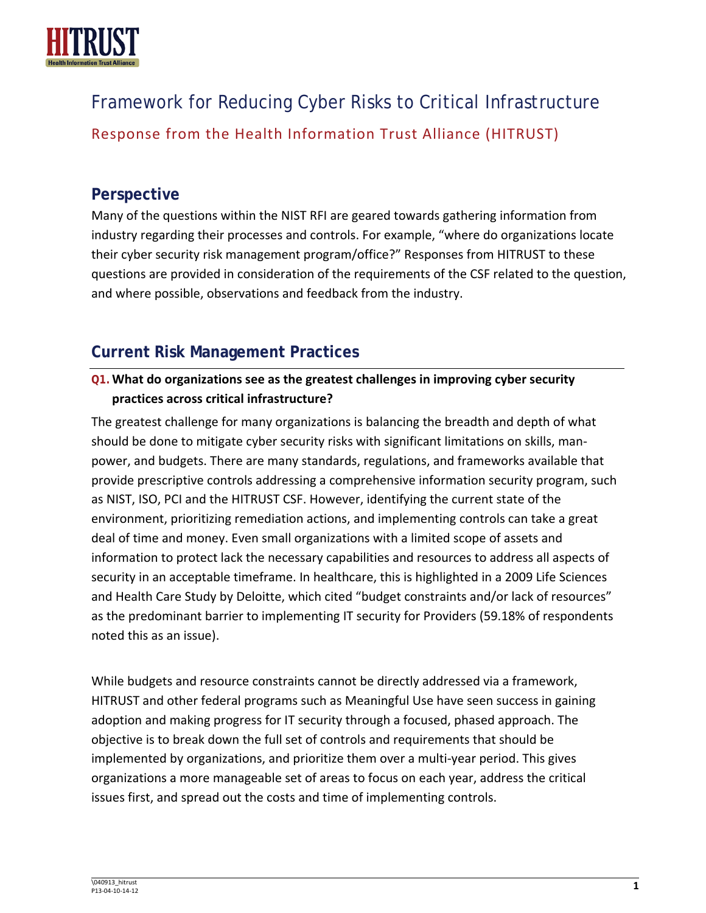

Framework for Reducing Cyber Risks to Critical Infrastructure Response from the Health Information Trust Alliance (HITRUST)

# **Perspective**

Many of the questions within the NIST RFI are geared towards gathering information from industry regarding their processes and controls. For example, "where do organizations locate their cyber security risk management program/office?" Responses from HITRUST to these questions are provided in consideration of the requirements of the CSF related to the question, and where possible, observations and feedback from the industry.

# **Current Risk Management Practices**

## **Q1.What do organizations see as the greatest challenges in improving cyber security practices across critical infrastructure?**

The greatest challenge for many organizations is balancing the breadth and depth of what should be done to mitigate cyber security risks with significant limitations on skills, manpower, and budgets. There are many standards, regulations, and frameworks available that provide prescriptive controls addressing a comprehensive information security program, such as NIST, ISO, PCI and the HITRUST CSF. However, identifying the current state of the environment, prioritizing remediation actions, and implementing controls can take a great deal of time and money. Even small organizations with a limited scope of assets and information to protect lack the necessary capabilities and resources to address all aspects of security in an acceptable timeframe. In healthcare, this is highlighted in a 2009 Life Sciences and Health Care Study by Deloitte, which cited "budget constraints and/or lack of resources" as the predominant barrier to implementing IT security for Providers (59.18% of respondents noted this as an issue).

While budgets and resource constraints cannot be directly addressed via a framework, HITRUST and other federal programs such as Meaningful Use have seen success in gaining adoption and making progress for IT security through a focused, phased approach. The objective is to break down the full set of controls and requirements that should be implemented by organizations, and prioritize them over a multi-year period. This gives organizations a more manageable set of areas to focus on each year, address the critical issues first, and spread out the costs and time of implementing controls.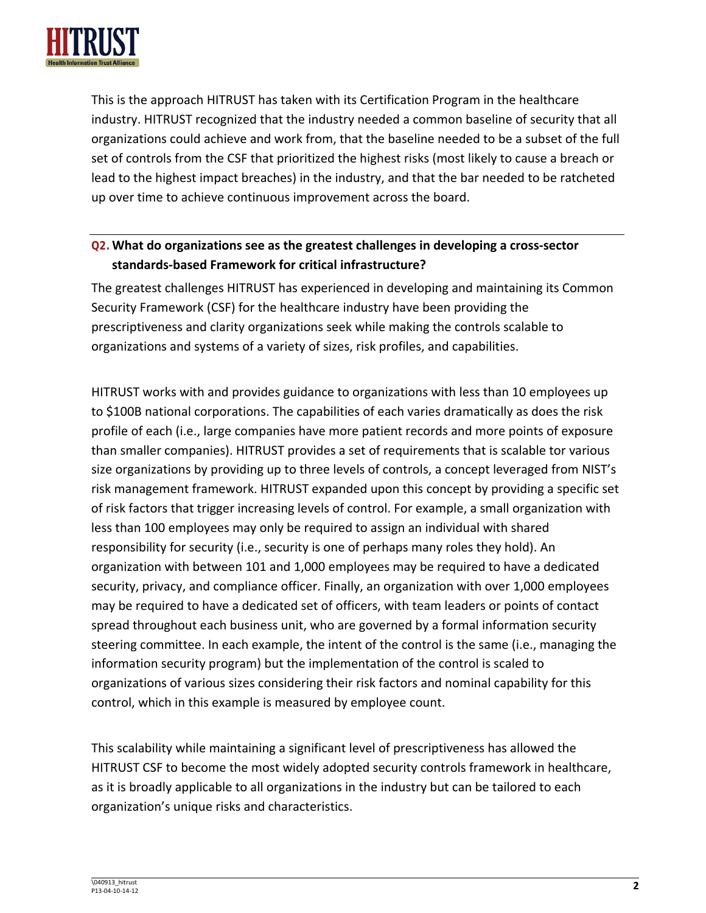

This is the approach HITRUST has taken with its Certification Program in the healthcare industry. HITRUST recognized that the industry needed a common baseline of security that all organizations could achieve and work from, that the baseline needed to be a subset of the full set of controls from the CSF that prioritized the highest risks (most likely to cause a breach or lead to the highest impact breaches) in the industry, and that the bar needed to be ratcheted up over time to achieve continuous improvement across the board.

## **Q2.What do organizations see as the greatest challenges in developing a cross-sector standards-based Framework for critical infrastructure?**

The greatest challenges HITRUST has experienced in developing and maintaining its Common Security Framework (CSF) for the healthcare industry have been providing the prescriptiveness and clarity organizations seek while making the controls scalable to organizations and systems of a variety of sizes, risk profiles, and capabilities.

HITRUST works with and provides guidance to organizations with less than 10 employees up to \$100B national corporations. The capabilities of each varies dramatically as does the risk profile of each (i.e., large companies have more patient records and more points of exposure than smaller companies). HITRUST provides a set of requirements that is scalable tor various size organizations by providing up to three levels of controls, a concept leveraged from NIST's risk management framework. HITRUST expanded upon this concept by providing a specific set of risk factors that trigger increasing levels of control. For example, a small organization with less than 100 employees may only be required to assign an individual with shared responsibility for security (i.e., security is one of perhaps many roles they hold). An organization with between 101 and 1,000 employees may be required to have a dedicated security, privacy, and compliance officer. Finally, an organization with over 1,000 employees may be required to have a dedicated set of officers, with team leaders or points of contact spread throughout each business unit, who are governed by a formal information security steering committee. In each example, the intent of the control is the same (i.e., managing the information security program) but the implementation of the control is scaled to organizations of various sizes considering their risk factors and nominal capability for this control, which in this example is measured by employee count.

This scalability while maintaining a significant level of prescriptiveness has allowed the HITRUST CSF to become the most widely adopted security controls framework in healthcare, as it is broadly applicable to all organizations in the industry but can be tailored to each organization's unique risks and characteristics.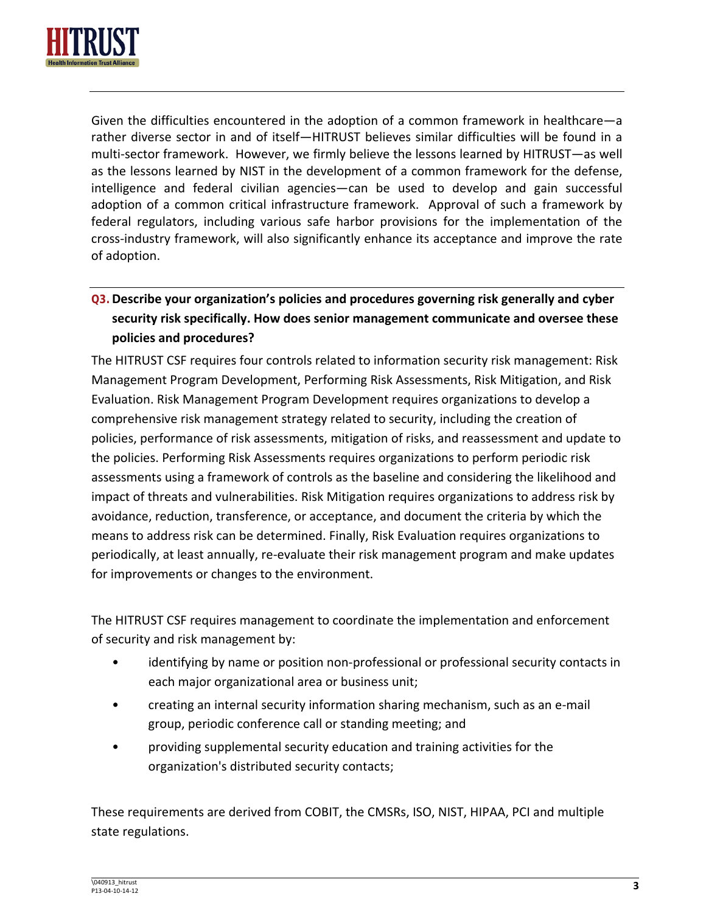

Given the difficulties encountered in the adoption of a common framework in healthcare—a rather diverse sector in and of itself—HITRUST believes similar difficulties will be found in a multi-sector framework. However, we firmly believe the lessons learned by HITRUST—as well as the lessons learned by NIST in the development of a common framework for the defense, intelligence and federal civilian agencies—can be used to develop and gain successful adoption of a common critical infrastructure framework. Approval of such a framework by federal regulators, including various safe harbor provisions for the implementation of the cross-industry framework, will also significantly enhance its acceptance and improve the rate of adoption.

# **Q3.Describe your organization's policies and procedures governing risk generally and cyber security risk specifically. How does senior management communicate and oversee these policies and procedures?**

The HITRUST CSF requires four controls related to information security risk management: Risk Management Program Development, Performing Risk Assessments, Risk Mitigation, and Risk Evaluation. Risk Management Program Development requires organizations to develop a comprehensive risk management strategy related to security, including the creation of policies, performance of risk assessments, mitigation of risks, and reassessment and update to the policies. Performing Risk Assessments requires organizations to perform periodic risk assessments using a framework of controls as the baseline and considering the likelihood and impact of threats and vulnerabilities. Risk Mitigation requires organizations to address risk by avoidance, reduction, transference, or acceptance, and document the criteria by which the means to address risk can be determined. Finally, Risk Evaluation requires organizations to periodically, at least annually, re-evaluate their risk management program and make updates for improvements or changes to the environment.

The HITRUST CSF requires management to coordinate the implementation and enforcement of security and risk management by:

- identifying by name or position non-professional or professional security contacts in each major organizational area or business unit;
- creating an internal security information sharing mechanism, such as an e-mail group, periodic conference call or standing meeting; and
- providing supplemental security education and training activities for the organization's distributed security contacts;

These requirements are derived from COBIT, the CMSRs, ISO, NIST, HIPAA, PCI and multiple state regulations.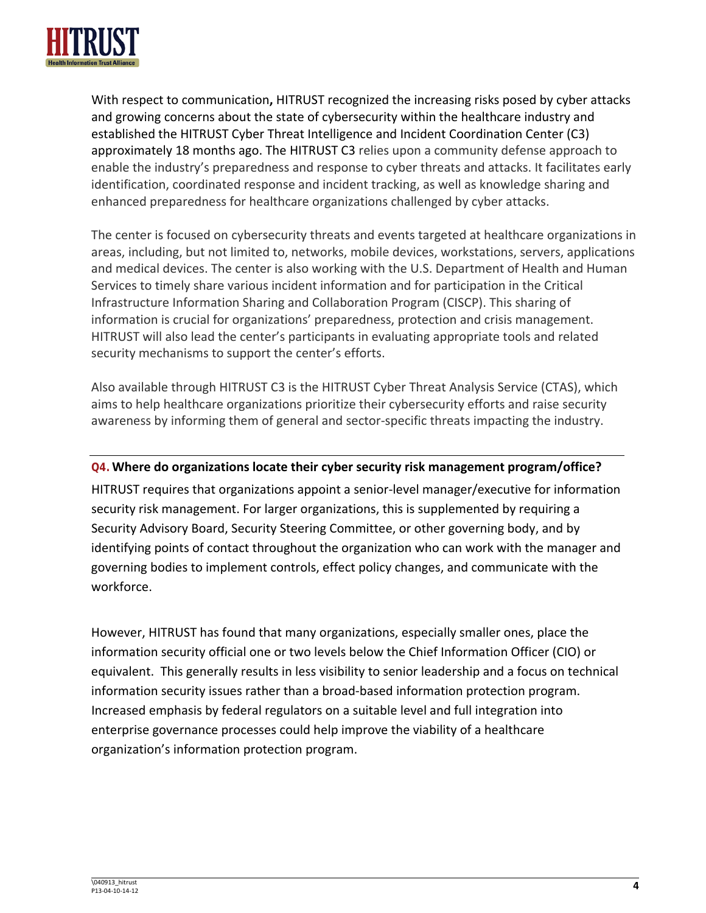

With respect to communication**,** HITRUST recognized the increasing risks posed by cyber attacks and growing concerns about the state of cybersecurity within the healthcare industry and established the HITRUST Cyber Threat Intelligence and Incident Coordination Center (C3) approximately 18 months ago. The HITRUST C3 relies upon a community defense approach to enable the industry's preparedness and response to cyber threats and attacks. It facilitates early identification, coordinated response and incident tracking, as well as knowledge sharing and enhanced preparedness for healthcare organizations challenged by cyber attacks.

The center is focused on cybersecurity threats and events targeted at healthcare organizations in areas, including, but not limited to, networks, mobile devices, workstations, servers, applications and medical devices. The center is also working with the U.S. Department of Health and Human Services to timely share various incident information and for participation in the Critical Infrastructure Information Sharing and Collaboration Program (CISCP). This sharing of information is crucial for organizations' preparedness, protection and crisis management. HITRUST will also lead the center's participants in evaluating appropriate tools and related security mechanisms to support the center's efforts.

Also available through HITRUST C3 is the HITRUST Cyber Threat Analysis Service (CTAS), which aims to help healthcare organizations prioritize their cybersecurity efforts and raise security awareness by informing them of general and sector-specific threats impacting the industry.

#### **Q4.Where do organizations locate their cyber security risk management program/office?**

HITRUST requires that organizations appoint a senior-level manager/executive for information security risk management. For larger organizations, this is supplemented by requiring a Security Advisory Board, Security Steering Committee, or other governing body, and by identifying points of contact throughout the organization who can work with the manager and governing bodies to implement controls, effect policy changes, and communicate with the workforce.

However, HITRUST has found that many organizations, especially smaller ones, place the information security official one or two levels below the Chief Information Officer (CIO) or equivalent. This generally results in less visibility to senior leadership and a focus on technical information security issues rather than a broad-based information protection program. Increased emphasis by federal regulators on a suitable level and full integration into enterprise governance processes could help improve the viability of a healthcare organization's information protection program.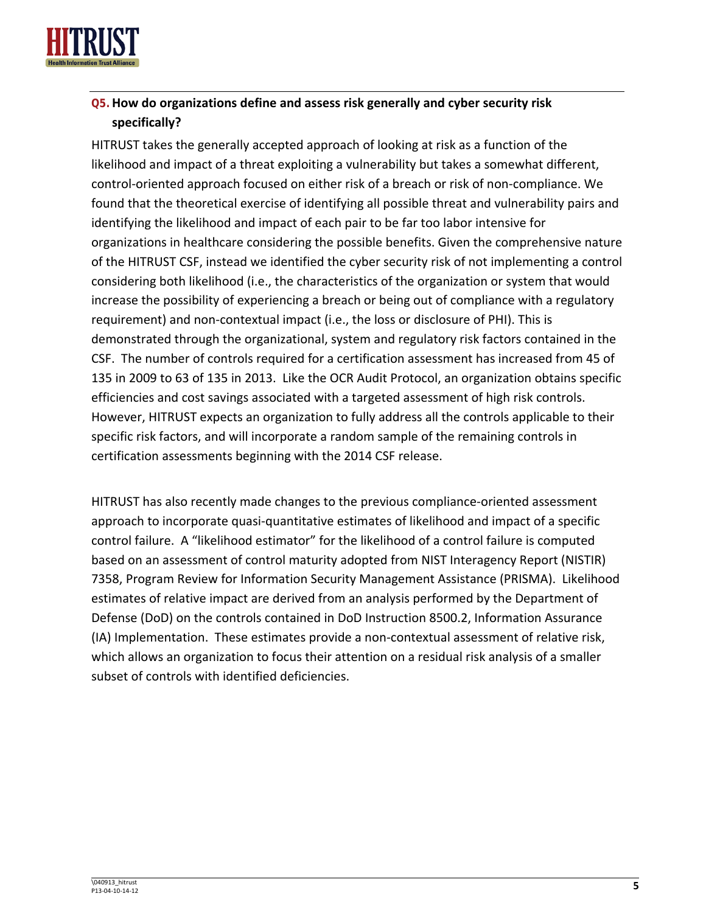

## **Q5.How do organizations define and assess risk generally and cyber security risk specifically?**

HITRUST takes the generally accepted approach of looking at risk as a function of the likelihood and impact of a threat exploiting a vulnerability but takes a somewhat different, control-oriented approach focused on either risk of a breach or risk of non-compliance. We found that the theoretical exercise of identifying all possible threat and vulnerability pairs and identifying the likelihood and impact of each pair to be far too labor intensive for organizations in healthcare considering the possible benefits. Given the comprehensive nature of the HITRUST CSF, instead we identified the cyber security risk of not implementing a control considering both likelihood (i.e., the characteristics of the organization or system that would increase the possibility of experiencing a breach or being out of compliance with a regulatory requirement) and non-contextual impact (i.e., the loss or disclosure of PHI). This is demonstrated through the organizational, system and regulatory risk factors contained in the CSF. The number of controls required for a certification assessment has increased from 45 of 135 in 2009 to 63 of 135 in 2013. Like the OCR Audit Protocol, an organization obtains specific efficiencies and cost savings associated with a targeted assessment of high risk controls. However, HITRUST expects an organization to fully address all the controls applicable to their specific risk factors, and will incorporate a random sample of the remaining controls in certification assessments beginning with the 2014 CSF release.

HITRUST has also recently made changes to the previous compliance-oriented assessment approach to incorporate quasi-quantitative estimates of likelihood and impact of a specific control failure. A "likelihood estimator" for the likelihood of a control failure is computed based on an assessment of control maturity adopted from NIST Interagency Report (NISTIR) 7358, Program Review for Information Security Management Assistance (PRISMA). Likelihood estimates of relative impact are derived from an analysis performed by the Department of Defense (DoD) on the controls contained in DoD Instruction 8500.2, Information Assurance (IA) Implementation. These estimates provide a non-contextual assessment of relative risk, which allows an organization to focus their attention on a residual risk analysis of a smaller subset of controls with identified deficiencies.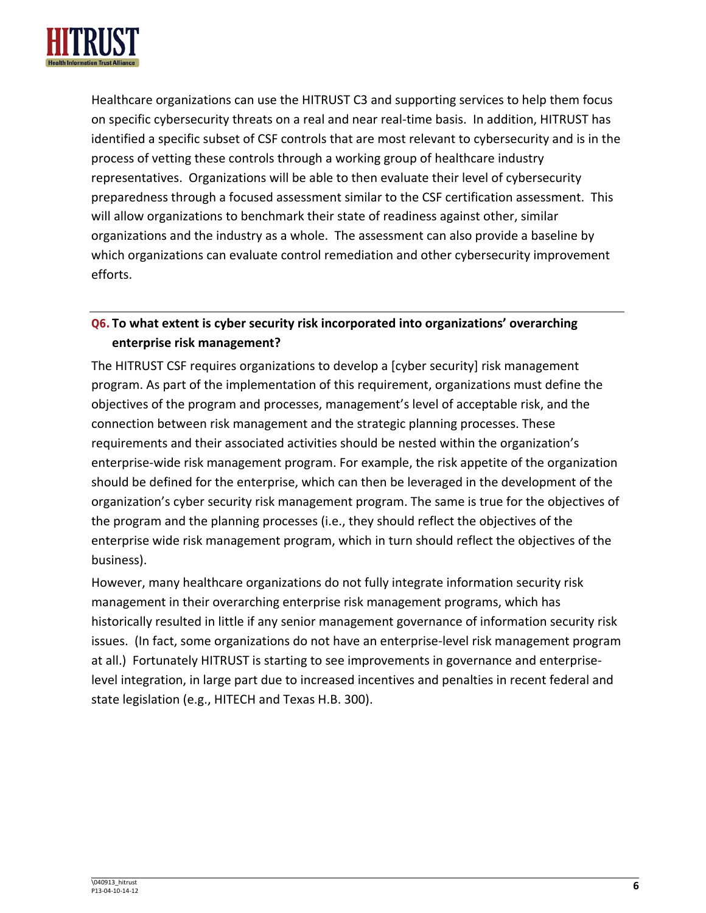

Healthcare organizations can use the HITRUST C3 and supporting services to help them focus on specific cybersecurity threats on a real and near real-time basis. In addition, HITRUST has identified a specific subset of CSF controls that are most relevant to cybersecurity and is in the process of vetting these controls through a working group of healthcare industry representatives. Organizations will be able to then evaluate their level of cybersecurity preparedness through a focused assessment similar to the CSF certification assessment. This will allow organizations to benchmark their state of readiness against other, similar organizations and the industry as a whole. The assessment can also provide a baseline by which organizations can evaluate control remediation and other cybersecurity improvement efforts.

## **Q6.To what extent is cyber security risk incorporated into organizations' overarching enterprise risk management?**

The HITRUST CSF requires organizations to develop a [cyber security] risk management program. As part of the implementation of this requirement, organizations must define the objectives of the program and processes, management's level of acceptable risk, and the connection between risk management and the strategic planning processes. These requirements and their associated activities should be nested within the organization's enterprise-wide risk management program. For example, the risk appetite of the organization should be defined for the enterprise, which can then be leveraged in the development of the organization's cyber security risk management program. The same is true for the objectives of the program and the planning processes (i.e., they should reflect the objectives of the enterprise wide risk management program, which in turn should reflect the objectives of the business).

However, many healthcare organizations do not fully integrate information security risk management in their overarching enterprise risk management programs, which has historically resulted in little if any senior management governance of information security risk issues. (In fact, some organizations do not have an enterprise-level risk management program at all.) Fortunately HITRUST is starting to see improvements in governance and enterpriselevel integration, in large part due to increased incentives and penalties in recent federal and state legislation (e.g., HITECH and Texas H.B. 300).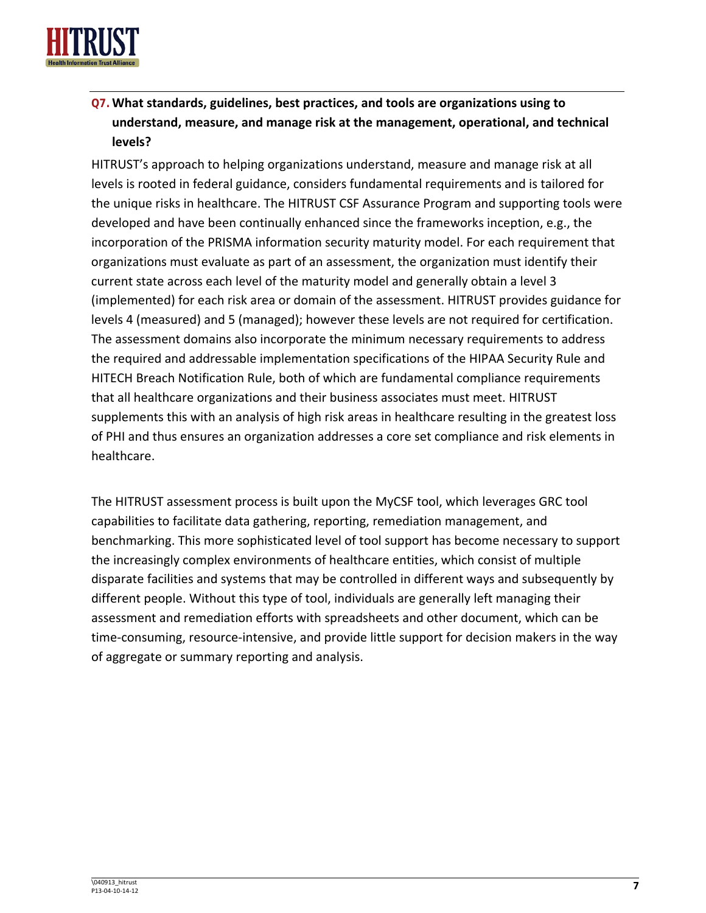

# **Q7.What standards, guidelines, best practices, and tools are organizations using to understand, measure, and manage risk at the management, operational, and technical levels?**

HITRUST's approach to helping organizations understand, measure and manage risk at all levels is rooted in federal guidance, considers fundamental requirements and is tailored for the unique risks in healthcare. The HITRUST CSF Assurance Program and supporting tools were developed and have been continually enhanced since the frameworks inception, e.g., the incorporation of the PRISMA information security maturity model. For each requirement that organizations must evaluate as part of an assessment, the organization must identify their current state across each level of the maturity model and generally obtain a level 3 (implemented) for each risk area or domain of the assessment. HITRUST provides guidance for levels 4 (measured) and 5 (managed); however these levels are not required for certification. The assessment domains also incorporate the minimum necessary requirements to address the required and addressable implementation specifications of the HIPAA Security Rule and HITECH Breach Notification Rule, both of which are fundamental compliance requirements that all healthcare organizations and their business associates must meet. HITRUST supplements this with an analysis of high risk areas in healthcare resulting in the greatest loss of PHI and thus ensures an organization addresses a core set compliance and risk elements in healthcare.

The HITRUST assessment process is built upon the MyCSF tool, which leverages GRC tool capabilities to facilitate data gathering, reporting, remediation management, and benchmarking. This more sophisticated level of tool support has become necessary to support the increasingly complex environments of healthcare entities, which consist of multiple disparate facilities and systems that may be controlled in different ways and subsequently by different people. Without this type of tool, individuals are generally left managing their assessment and remediation efforts with spreadsheets and other document, which can be time-consuming, resource-intensive, and provide little support for decision makers in the way of aggregate or summary reporting and analysis.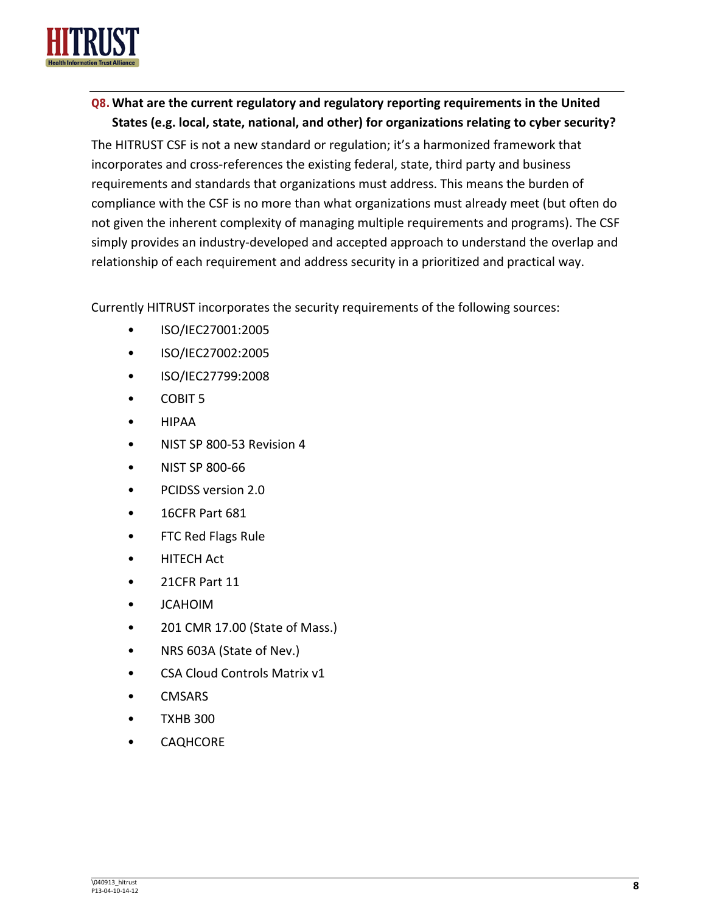

## **Q8.What are the current regulatory and regulatory reporting requirements in the United States (e.g. local, state, national, and other) for organizations relating to cyber security?**

The HITRUST CSF is not a new standard or regulation; it's a harmonized framework that incorporates and cross-references the existing federal, state, third party and business requirements and standards that organizations must address. This means the burden of compliance with the CSF is no more than what organizations must already meet (but often do not given the inherent complexity of managing multiple requirements and programs). The CSF simply provides an industry-developed and accepted approach to understand the overlap and relationship of each requirement and address security in a prioritized and practical way.

Currently HITRUST incorporates the security requirements of the following sources:

- ISO/IEC27001:2005
- ISO/IEC27002:2005
- ISO/IEC27799:2008
- COBIT 5
- HIPAA
- NIST SP 800-53 Revision 4
- NIST SP 800-66
- PCIDSS version 2.0
- 16CFR Part 681
- FTC Red Flags Rule
- HITECH Act
- 21CFR Part 11
- JCAHOIM
- 201 CMR 17.00 (State of Mass.)
- NRS 603A (State of Nev.)
- CSA Cloud Controls Matrix v1
- CMSARS
- TXHB 300
- **CAQHCORE**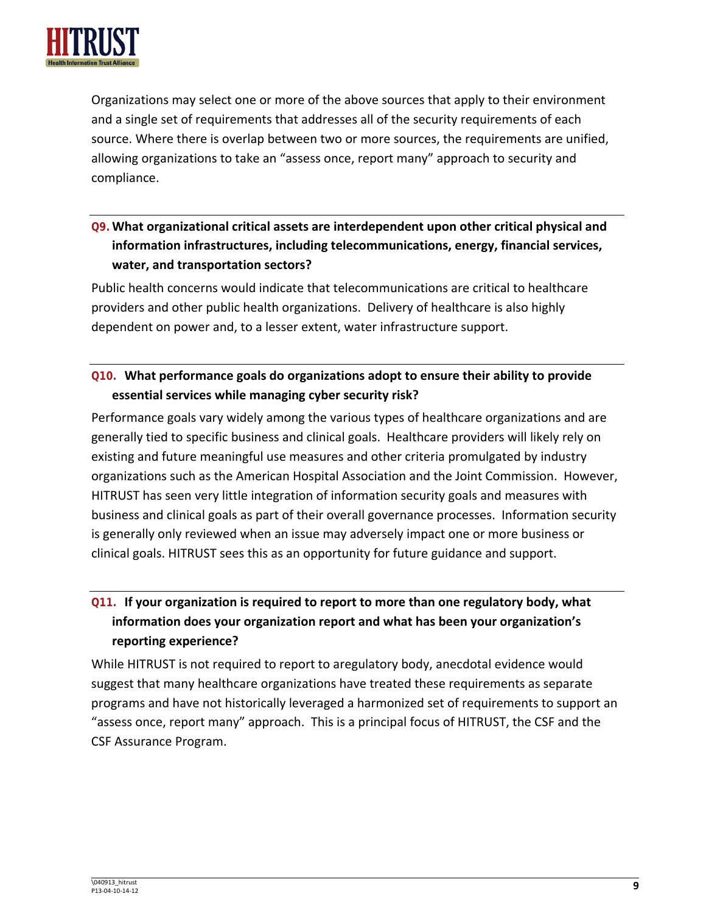

Organizations may select one or more of the above sources that apply to their environment and a single set of requirements that addresses all of the security requirements of each source. Where there is overlap between two or more sources, the requirements are unified, allowing organizations to take an "assess once, report many" approach to security and compliance.

## **Q9.What organizational critical assets are interdependent upon other critical physical and information infrastructures, including telecommunications, energy, financial services, water, and transportation sectors?**

Public health concerns would indicate that telecommunications are critical to healthcare providers and other public health organizations. Delivery of healthcare is also highly dependent on power and, to a lesser extent, water infrastructure support.

## **Q10. What performance goals do organizations adopt to ensure their ability to provide essential services while managing cyber security risk?**

Performance goals vary widely among the various types of healthcare organizations and are generally tied to specific business and clinical goals. Healthcare providers will likely rely on existing and future meaningful use measures and other criteria promulgated by industry organizations such as the American Hospital Association and the Joint Commission. However, HITRUST has seen very little integration of information security goals and measures with business and clinical goals as part of their overall governance processes. Information security is generally only reviewed when an issue may adversely impact one or more business or clinical goals. HITRUST sees this as an opportunity for future guidance and support.

# **Q11. If your organization is required to report to more than one regulatory body, what information does your organization report and what has been your organization's reporting experience?**

While HITRUST is not required to report to aregulatory body, anecdotal evidence would suggest that many healthcare organizations have treated these requirements as separate programs and have not historically leveraged a harmonized set of requirements to support an "assess once, report many" approach. This is a principal focus of HITRUST, the CSF and the CSF Assurance Program.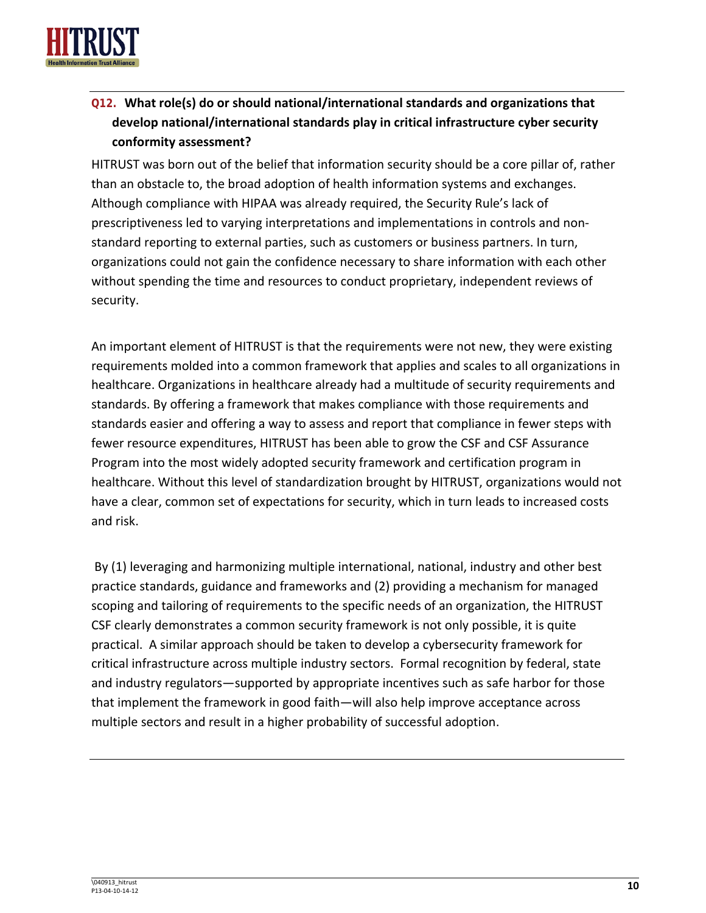

# **Q12. What role(s) do or should national/international standards and organizations that develop national/international standards play in critical infrastructure cyber security conformity assessment?**

HITRUST was born out of the belief that information security should be a core pillar of, rather than an obstacle to, the broad adoption of health information systems and exchanges. Although compliance with HIPAA was already required, the Security Rule's lack of prescriptiveness led to varying interpretations and implementations in controls and nonstandard reporting to external parties, such as customers or business partners. In turn, organizations could not gain the confidence necessary to share information with each other without spending the time and resources to conduct proprietary, independent reviews of security.

An important element of HITRUST is that the requirements were not new, they were existing requirements molded into a common framework that applies and scales to all organizations in healthcare. Organizations in healthcare already had a multitude of security requirements and standards. By offering a framework that makes compliance with those requirements and standards easier and offering a way to assess and report that compliance in fewer steps with fewer resource expenditures, HITRUST has been able to grow the CSF and CSF Assurance Program into the most widely adopted security framework and certification program in healthcare. Without this level of standardization brought by HITRUST, organizations would not have a clear, common set of expectations for security, which in turn leads to increased costs and risk.

By (1) leveraging and harmonizing multiple international, national, industry and other best practice standards, guidance and frameworks and (2) providing a mechanism for managed scoping and tailoring of requirements to the specific needs of an organization, the HITRUST CSF clearly demonstrates a common security framework is not only possible, it is quite practical. A similar approach should be taken to develop a cybersecurity framework for critical infrastructure across multiple industry sectors. Formal recognition by federal, state and industry regulators—supported by appropriate incentives such as safe harbor for those that implement the framework in good faith—will also help improve acceptance across multiple sectors and result in a higher probability of successful adoption.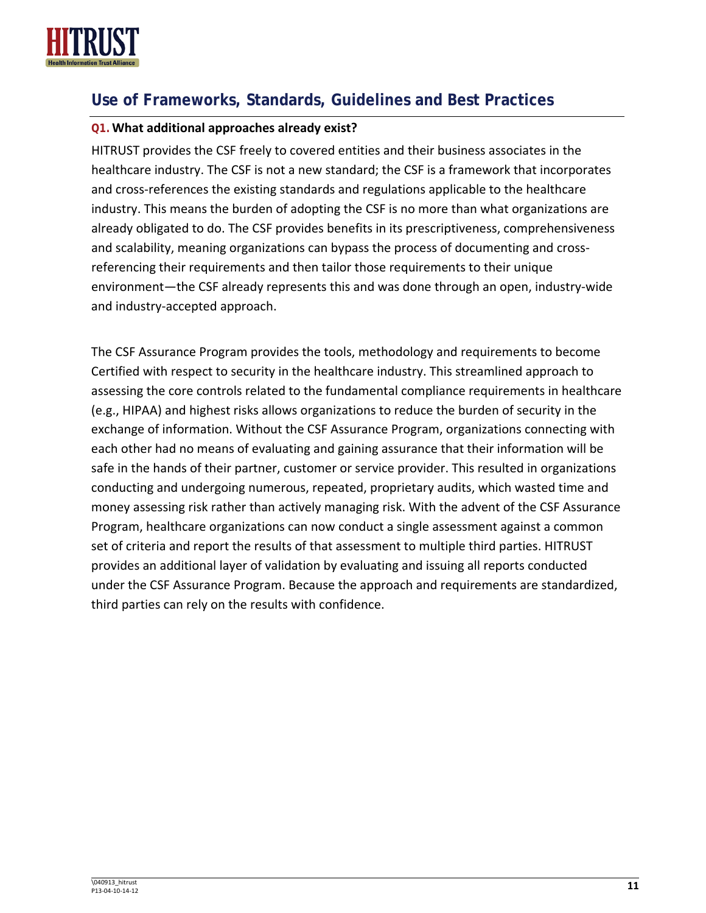

# **Use of Frameworks, Standards, Guidelines and Best Practices**

#### **Q1.What additional approaches already exist?**

HITRUST provides the CSF freely to covered entities and their business associates in the healthcare industry. The CSF is not a new standard; the CSF is a framework that incorporates and cross-references the existing standards and regulations applicable to the healthcare industry. This means the burden of adopting the CSF is no more than what organizations are already obligated to do. The CSF provides benefits in its prescriptiveness, comprehensiveness and scalability, meaning organizations can bypass the process of documenting and crossreferencing their requirements and then tailor those requirements to their unique environment—the CSF already represents this and was done through an open, industry-wide and industry-accepted approach.

The CSF Assurance Program provides the tools, methodology and requirements to become Certified with respect to security in the healthcare industry. This streamlined approach to assessing the core controls related to the fundamental compliance requirements in healthcare (e.g., HIPAA) and highest risks allows organizations to reduce the burden of security in the exchange of information. Without the CSF Assurance Program, organizations connecting with each other had no means of evaluating and gaining assurance that their information will be safe in the hands of their partner, customer or service provider. This resulted in organizations conducting and undergoing numerous, repeated, proprietary audits, which wasted time and money assessing risk rather than actively managing risk. With the advent of the CSF Assurance Program, healthcare organizations can now conduct a single assessment against a common set of criteria and report the results of that assessment to multiple third parties. HITRUST provides an additional layer of validation by evaluating and issuing all reports conducted under the CSF Assurance Program. Because the approach and requirements are standardized, third parties can rely on the results with confidence.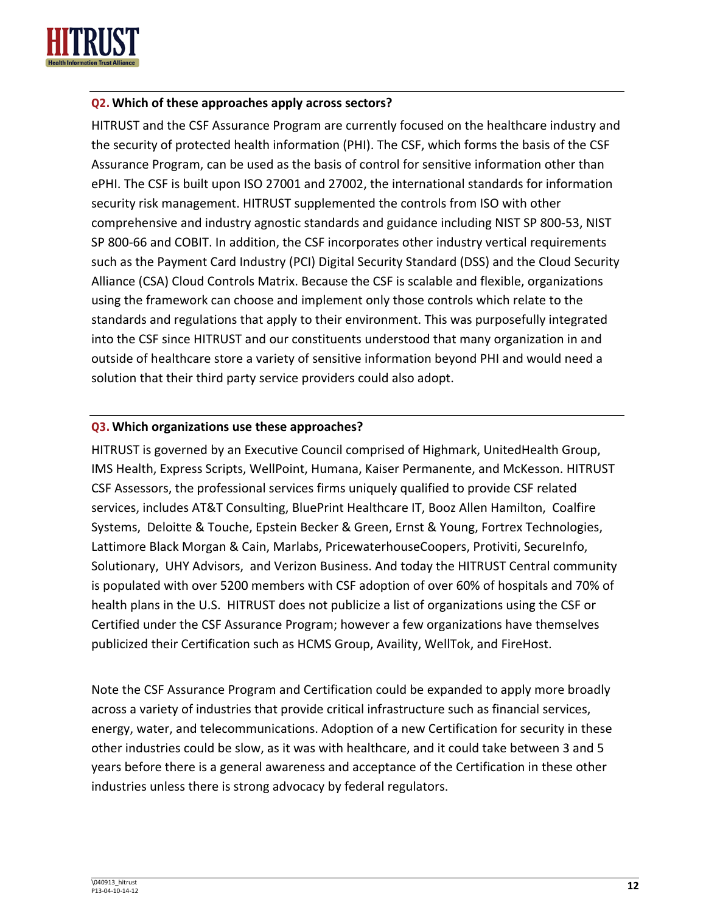

#### **Q2.Which of these approaches apply across sectors?**

HITRUST and the CSF Assurance Program are currently focused on the healthcare industry and the security of protected health information (PHI). The CSF, which forms the basis of the CSF Assurance Program, can be used as the basis of control for sensitive information other than ePHI. The CSF is built upon ISO 27001 and 27002, the international standards for information security risk management. HITRUST supplemented the controls from ISO with other comprehensive and industry agnostic standards and guidance including NIST SP 800-53, NIST SP 800-66 and COBIT. In addition, the CSF incorporates other industry vertical requirements such as the Payment Card Industry (PCI) Digital Security Standard (DSS) and the Cloud Security Alliance (CSA) Cloud Controls Matrix. Because the CSF is scalable and flexible, organizations using the framework can choose and implement only those controls which relate to the standards and regulations that apply to their environment. This was purposefully integrated into the CSF since HITRUST and our constituents understood that many organization in and outside of healthcare store a variety of sensitive information beyond PHI and would need a solution that their third party service providers could also adopt.

#### **Q3.Which organizations use these approaches?**

HITRUST is governed by an Executive Council comprised of Highmark, UnitedHealth Group, IMS Health, Express Scripts, WellPoint, Humana, Kaiser Permanente, and McKesson. HITRUST CSF Assessors, the professional services firms uniquely qualified to provide CSF related services, includes AT&T Consulting, BluePrint Healthcare IT, Booz Allen Hamilton, Coalfire Systems, Deloitte & Touche, Epstein Becker & Green, Ernst & Young, Fortrex Technologies, Lattimore Black Morgan & Cain, Marlabs, PricewaterhouseCoopers, Protiviti, SecureInfo, Solutionary, UHY Advisors, and Verizon Business. And today the HITRUST Central community is populated with over 5200 members with CSF adoption of over 60% of hospitals and 70% of health plans in the U.S. HITRUST does not publicize a list of organizations using the CSF or Certified under the CSF Assurance Program; however a few organizations have themselves publicized their Certification such as HCMS Group, Availity, WellTok, and FireHost.

Note the CSF Assurance Program and Certification could be expanded to apply more broadly across a variety of industries that provide critical infrastructure such as financial services, energy, water, and telecommunications. Adoption of a new Certification for security in these other industries could be slow, as it was with healthcare, and it could take between 3 and 5 years before there is a general awareness and acceptance of the Certification in these other industries unless there is strong advocacy by federal regulators.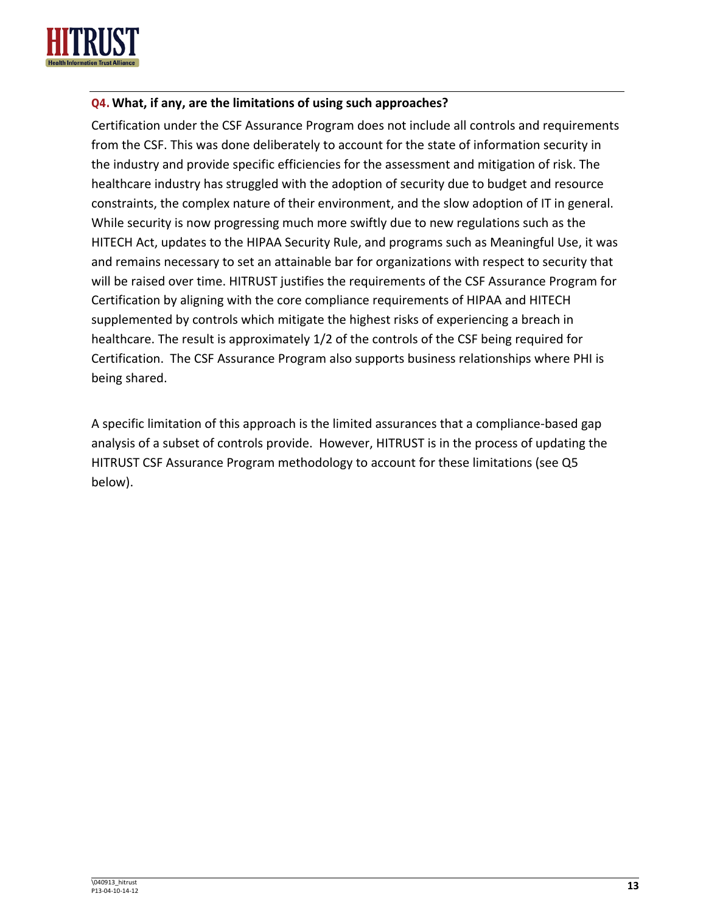

#### **Q4.What, if any, are the limitations of using such approaches?**

Certification under the CSF Assurance Program does not include all controls and requirements from the CSF. This was done deliberately to account for the state of information security in the industry and provide specific efficiencies for the assessment and mitigation of risk. The healthcare industry has struggled with the adoption of security due to budget and resource constraints, the complex nature of their environment, and the slow adoption of IT in general. While security is now progressing much more swiftly due to new regulations such as the HITECH Act, updates to the HIPAA Security Rule, and programs such as Meaningful Use, it was and remains necessary to set an attainable bar for organizations with respect to security that will be raised over time. HITRUST justifies the requirements of the CSF Assurance Program for Certification by aligning with the core compliance requirements of HIPAA and HITECH supplemented by controls which mitigate the highest risks of experiencing a breach in healthcare. The result is approximately 1/2 of the controls of the CSF being required for Certification. The CSF Assurance Program also supports business relationships where PHI is being shared.

A specific limitation of this approach is the limited assurances that a compliance-based gap analysis of a subset of controls provide. However, HITRUST is in the process of updating the HITRUST CSF Assurance Program methodology to account for these limitations (see Q5 below).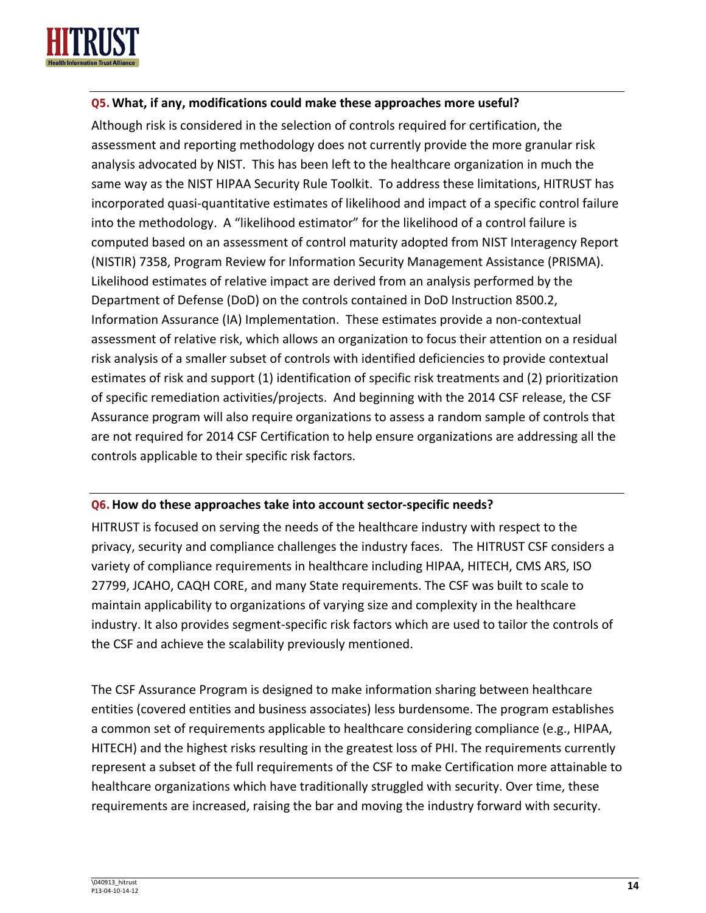

#### **Q5.What, if any, modifications could make these approaches more useful?**

Although risk is considered in the selection of controls required for certification, the assessment and reporting methodology does not currently provide the more granular risk analysis advocated by NIST. This has been left to the healthcare organization in much the same way as the NIST HIPAA Security Rule Toolkit. To address these limitations, HITRUST has incorporated quasi-quantitative estimates of likelihood and impact of a specific control failure into the methodology. A "likelihood estimator" for the likelihood of a control failure is computed based on an assessment of control maturity adopted from NIST Interagency Report (NISTIR) 7358, Program Review for Information Security Management Assistance (PRISMA). Likelihood estimates of relative impact are derived from an analysis performed by the Department of Defense (DoD) on the controls contained in DoD Instruction 8500.2, Information Assurance (IA) Implementation. These estimates provide a non-contextual assessment of relative risk, which allows an organization to focus their attention on a residual risk analysis of a smaller subset of controls with identified deficiencies to provide contextual estimates of risk and support (1) identification of specific risk treatments and (2) prioritization of specific remediation activities/projects. And beginning with the 2014 CSF release, the CSF Assurance program will also require organizations to assess a random sample of controls that are not required for 2014 CSF Certification to help ensure organizations are addressing all the controls applicable to their specific risk factors.

#### **Q6.How do these approaches take into account sector-specific needs?**

HITRUST is focused on serving the needs of the healthcare industry with respect to the privacy, security and compliance challenges the industry faces. The HITRUST CSF considers a variety of compliance requirements in healthcare including HIPAA, HITECH, CMS ARS, ISO 27799, JCAHO, CAQH CORE, and many State requirements. The CSF was built to scale to maintain applicability to organizations of varying size and complexity in the healthcare industry. It also provides segment-specific risk factors which are used to tailor the controls of the CSF and achieve the scalability previously mentioned.

The CSF Assurance Program is designed to make information sharing between healthcare entities (covered entities and business associates) less burdensome. The program establishes a common set of requirements applicable to healthcare considering compliance (e.g., HIPAA, HITECH) and the highest risks resulting in the greatest loss of PHI. The requirements currently represent a subset of the full requirements of the CSF to make Certification more attainable to healthcare organizations which have traditionally struggled with security. Over time, these requirements are increased, raising the bar and moving the industry forward with security.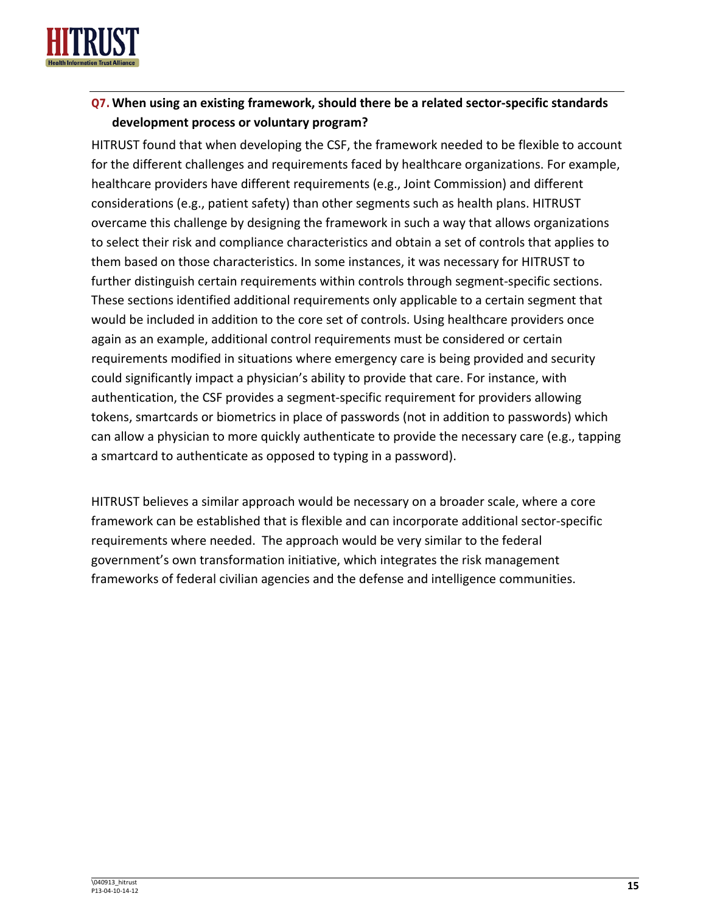

## **Q7.When using an existing framework, should there be a related sector-specific standards development process or voluntary program?**

HITRUST found that when developing the CSF, the framework needed to be flexible to account for the different challenges and requirements faced by healthcare organizations. For example, healthcare providers have different requirements (e.g., Joint Commission) and different considerations (e.g., patient safety) than other segments such as health plans. HITRUST overcame this challenge by designing the framework in such a way that allows organizations to select their risk and compliance characteristics and obtain a set of controls that applies to them based on those characteristics. In some instances, it was necessary for HITRUST to further distinguish certain requirements within controls through segment-specific sections. These sections identified additional requirements only applicable to a certain segment that would be included in addition to the core set of controls. Using healthcare providers once again as an example, additional control requirements must be considered or certain requirements modified in situations where emergency care is being provided and security could significantly impact a physician's ability to provide that care. For instance, with authentication, the CSF provides a segment-specific requirement for providers allowing tokens, smartcards or biometrics in place of passwords (not in addition to passwords) which can allow a physician to more quickly authenticate to provide the necessary care (e.g., tapping a smartcard to authenticate as opposed to typing in a password).

HITRUST believes a similar approach would be necessary on a broader scale, where a core framework can be established that is flexible and can incorporate additional sector-specific requirements where needed. The approach would be very similar to the federal government's own transformation initiative, which integrates the risk management frameworks of federal civilian agencies and the defense and intelligence communities.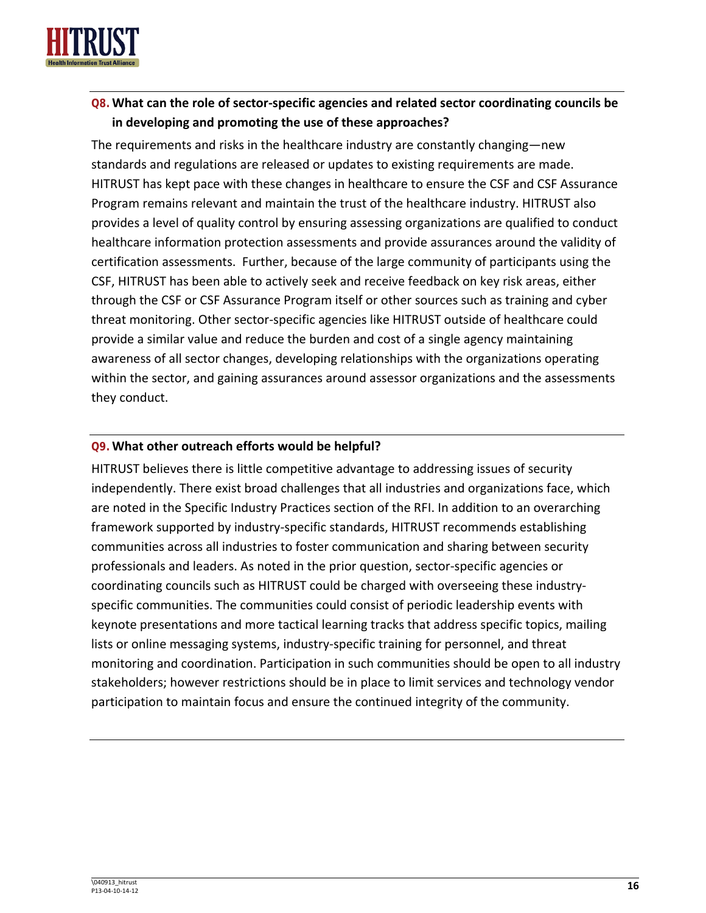

## **Q8.What can the role of sector-specific agencies and related sector coordinating councils be in developing and promoting the use of these approaches?**

The requirements and risks in the healthcare industry are constantly changing—new standards and regulations are released or updates to existing requirements are made. HITRUST has kept pace with these changes in healthcare to ensure the CSF and CSF Assurance Program remains relevant and maintain the trust of the healthcare industry. HITRUST also provides a level of quality control by ensuring assessing organizations are qualified to conduct healthcare information protection assessments and provide assurances around the validity of certification assessments. Further, because of the large community of participants using the CSF, HITRUST has been able to actively seek and receive feedback on key risk areas, either through the CSF or CSF Assurance Program itself or other sources such as training and cyber threat monitoring. Other sector-specific agencies like HITRUST outside of healthcare could provide a similar value and reduce the burden and cost of a single agency maintaining awareness of all sector changes, developing relationships with the organizations operating within the sector, and gaining assurances around assessor organizations and the assessments they conduct.

#### **Q9.What other outreach efforts would be helpful?**

HITRUST believes there is little competitive advantage to addressing issues of security independently. There exist broad challenges that all industries and organizations face, which are noted in the Specific Industry Practices section of the RFI. In addition to an overarching framework supported by industry-specific standards, HITRUST recommends establishing communities across all industries to foster communication and sharing between security professionals and leaders. As noted in the prior question, sector-specific agencies or coordinating councils such as HITRUST could be charged with overseeing these industryspecific communities. The communities could consist of periodic leadership events with keynote presentations and more tactical learning tracks that address specific topics, mailing lists or online messaging systems, industry-specific training for personnel, and threat monitoring and coordination. Participation in such communities should be open to all industry stakeholders; however restrictions should be in place to limit services and technology vendor participation to maintain focus and ensure the continued integrity of the community.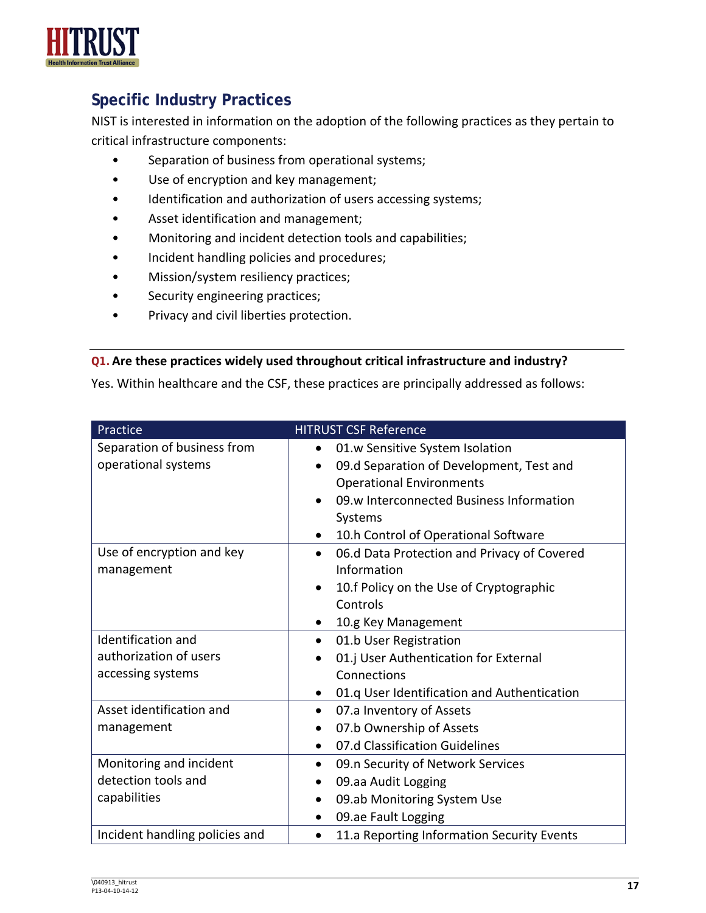

# **Specific Industry Practices**

NIST is interested in information on the adoption of the following practices as they pertain to critical infrastructure components:

- Separation of business from operational systems;
- Use of encryption and key management;
- Identification and authorization of users accessing systems;
- Asset identification and management;
- Monitoring and incident detection tools and capabilities;
- Incident handling policies and procedures;
- Mission/system resiliency practices;
- Security engineering practices;
- Privacy and civil liberties protection.

#### **Q1.Are these practices widely used throughout critical infrastructure and industry?**

Yes. Within healthcare and the CSF, these practices are principally addressed as follows:

| Practice                                                          | <b>HITRUST CSF Reference</b>                                                                                                                                                                                               |
|-------------------------------------------------------------------|----------------------------------------------------------------------------------------------------------------------------------------------------------------------------------------------------------------------------|
| Separation of business from<br>operational systems                | 01.w Sensitive System Isolation<br>$\bullet$<br>09.d Separation of Development, Test and<br><b>Operational Environments</b><br>09.w Interconnected Business Information<br>Systems<br>10.h Control of Operational Software |
| Use of encryption and key<br>management                           | 06.d Data Protection and Privacy of Covered<br>$\bullet$<br>Information<br>10.f Policy on the Use of Cryptographic<br>Controls<br>10.g Key Management                                                                      |
| Identification and<br>authorization of users<br>accessing systems | 01.b User Registration<br>$\bullet$<br>01.j User Authentication for External<br>Connections<br>01.q User Identification and Authentication                                                                                 |
| Asset identification and<br>management                            | 07.a Inventory of Assets<br>$\bullet$<br>07.b Ownership of Assets<br>07.d Classification Guidelines                                                                                                                        |
| Monitoring and incident<br>detection tools and<br>capabilities    | 09.n Security of Network Services<br>09.aa Audit Logging<br>$\bullet$<br>09.ab Monitoring System Use<br>$\bullet$<br>09.ae Fault Logging                                                                                   |
| Incident handling policies and                                    | 11.a Reporting Information Security Events                                                                                                                                                                                 |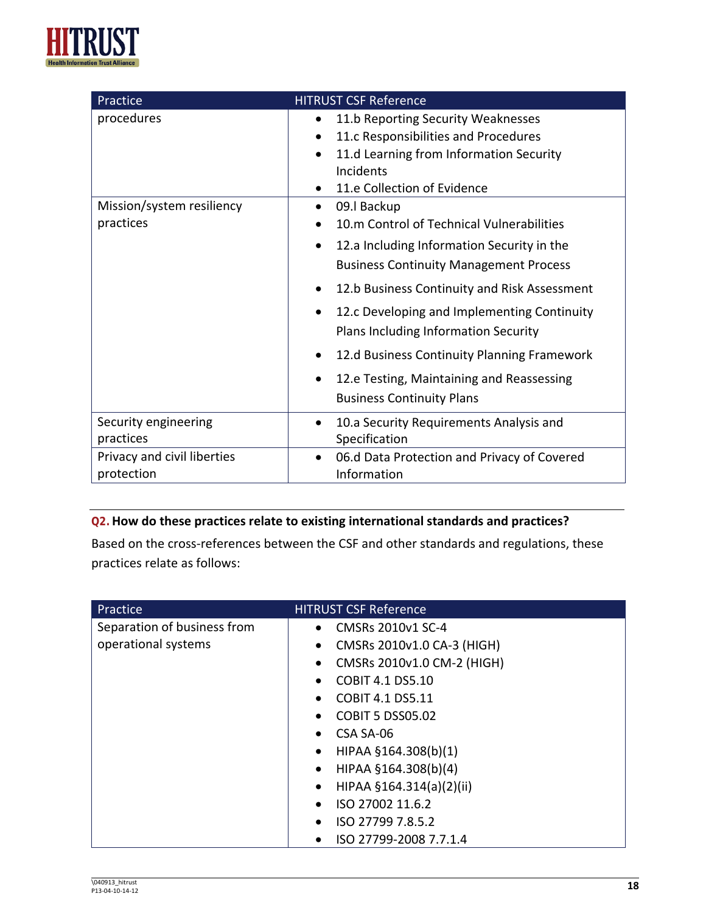

| Practice                                             | <b>HITRUST CSF Reference</b>                                                                                                                                                                                                                                                                                                                                                                                                                                                                                                                                                                                                                                         |
|------------------------------------------------------|----------------------------------------------------------------------------------------------------------------------------------------------------------------------------------------------------------------------------------------------------------------------------------------------------------------------------------------------------------------------------------------------------------------------------------------------------------------------------------------------------------------------------------------------------------------------------------------------------------------------------------------------------------------------|
| procedures<br>Mission/system resiliency<br>practices | 11.b Reporting Security Weaknesses<br>11.c Responsibilities and Procedures<br>11.d Learning from Information Security<br>$\bullet$<br>Incidents<br>11.e Collection of Evidence<br>$\bullet$<br>09.I Backup<br>$\bullet$<br>10.m Control of Technical Vulnerabilities<br>12.a Including Information Security in the<br><b>Business Continuity Management Process</b><br>12.b Business Continuity and Risk Assessment<br>12.c Developing and Implementing Continuity<br>$\bullet$<br>Plans Including Information Security<br>12.d Business Continuity Planning Framework<br>12.e Testing, Maintaining and Reassessing<br>$\bullet$<br><b>Business Continuity Plans</b> |
| Security engineering                                 | 10.a Security Requirements Analysis and<br>$\bullet$                                                                                                                                                                                                                                                                                                                                                                                                                                                                                                                                                                                                                 |
| practices                                            | Specification                                                                                                                                                                                                                                                                                                                                                                                                                                                                                                                                                                                                                                                        |
| Privacy and civil liberties                          | 06.d Data Protection and Privacy of Covered                                                                                                                                                                                                                                                                                                                                                                                                                                                                                                                                                                                                                          |
| protection                                           | Information                                                                                                                                                                                                                                                                                                                                                                                                                                                                                                                                                                                                                                                          |

#### **Q2.How do these practices relate to existing international standards and practices?**

Based on the cross-references between the CSF and other standards and regulations, these practices relate as follows:

| Practice                    | <b>HITRUST CSF Reference</b>            |
|-----------------------------|-----------------------------------------|
| Separation of business from | CMSRs 2010v1 SC-4<br>$\bullet$          |
| operational systems         | CMSRs 2010v1.0 CA-3 (HIGH)<br>$\bullet$ |
|                             | CMSRs 2010v1.0 CM-2 (HIGH)<br>$\bullet$ |
|                             | <b>COBIT 4.1 DS5.10</b><br>$\bullet$    |
|                             | <b>COBIT 4.1 DS5.11</b><br>$\bullet$    |
|                             | <b>COBIT 5 DSS05.02</b><br>$\bullet$    |
|                             | CSA SA-06<br>$\bullet$                  |
|                             | HIPAA §164.308(b)(1)<br>$\bullet$       |
|                             | HIPAA §164.308(b)(4)<br>$\bullet$       |
|                             | HIPAA §164.314(a)(2)(ii)<br>$\bullet$   |
|                             | ISO 27002 11.6.2<br>$\bullet$           |
|                             | ISO 27799 7.8.5.2<br>$\bullet$          |
|                             | ISO 27799-2008 7.7.1.4<br>٠             |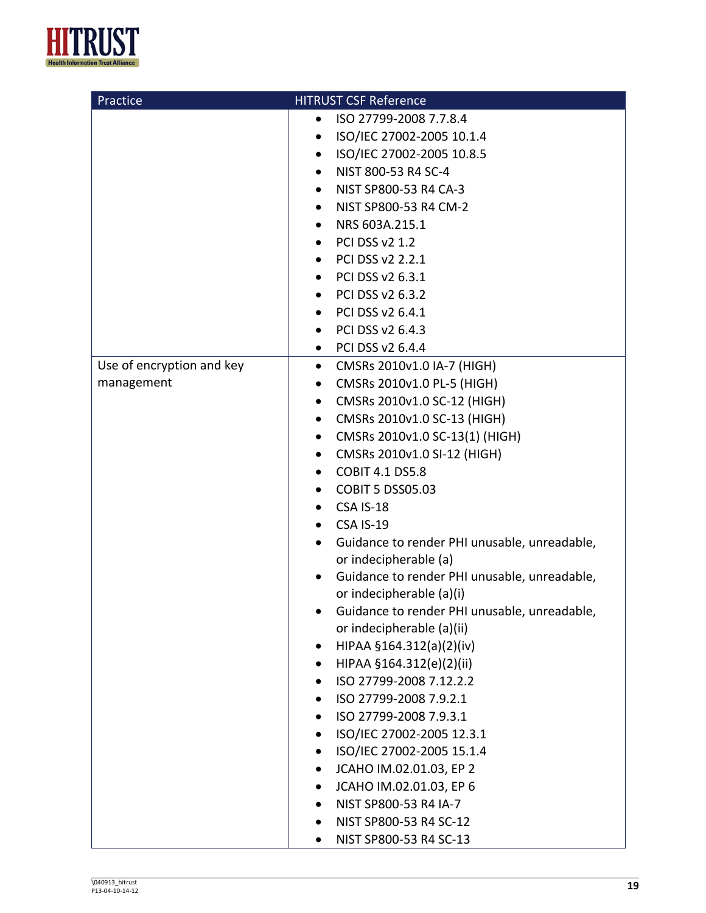

| Practice                  | <b>HITRUST CSF Reference</b>                                                       |
|---------------------------|------------------------------------------------------------------------------------|
|                           | ISO 27799-2008 7.7.8.4<br>$\bullet$                                                |
|                           | ISO/IEC 27002-2005 10.1.4<br>$\bullet$                                             |
|                           | ISO/IEC 27002-2005 10.8.5<br>$\bullet$                                             |
|                           | NIST 800-53 R4 SC-4<br>$\bullet$                                                   |
|                           | NIST SP800-53 R4 CA-3<br>$\bullet$                                                 |
|                           | NIST SP800-53 R4 CM-2<br>$\bullet$                                                 |
|                           | NRS 603A.215.1<br>$\bullet$                                                        |
|                           | PCI DSS v2 1.2                                                                     |
|                           | PCI DSS v2 2.2.1<br>$\bullet$                                                      |
|                           | PCI DSS v2 6.3.1                                                                   |
|                           | PCI DSS v2 6.3.2<br>$\bullet$                                                      |
|                           | PCI DSS v2 6.4.1<br>$\bullet$                                                      |
|                           | PCI DSS v2 6.4.3<br>٠                                                              |
|                           | • PCI DSS v2 6.4.4                                                                 |
| Use of encryption and key | CMSRs 2010v1.0 IA-7 (HIGH)<br>$\bullet$                                            |
| management                | CMSRs 2010v1.0 PL-5 (HIGH)<br>$\bullet$                                            |
|                           | CMSRs 2010v1.0 SC-12 (HIGH)<br>٠                                                   |
|                           | CMSRs 2010v1.0 SC-13 (HIGH)<br>$\bullet$                                           |
|                           | CMSRs 2010v1.0 SC-13(1) (HIGH)<br>$\bullet$                                        |
|                           | CMSRs 2010v1.0 SI-12 (HIGH)<br>$\bullet$                                           |
|                           | <b>COBIT 4.1 DS5.8</b>                                                             |
|                           | <b>COBIT 5 DSS05.03</b>                                                            |
|                           | <b>CSA IS-18</b>                                                                   |
|                           | <b>CSA IS-19</b><br>$\bullet$                                                      |
|                           | Guidance to render PHI unusable, unreadable,<br>$\bullet$<br>or indecipherable (a) |
|                           | Guidance to render PHI unusable, unreadable,                                       |
|                           | or indecipherable (a)(i)                                                           |
|                           | Guidance to render PHI unusable, unreadable,                                       |
|                           | or indecipherable (a)(ii)                                                          |
|                           | HIPAA §164.312(a)(2)(iv)                                                           |
|                           | HIPAA §164.312(e)(2)(ii)                                                           |
|                           | ISO 27799-2008 7.12.2.2                                                            |
|                           | ISO 27799-2008 7.9.2.1                                                             |
|                           | ISO 27799-2008 7.9.3.1                                                             |
|                           | ISO/IEC 27002-2005 12.3.1                                                          |
|                           | ISO/IEC 27002-2005 15.1.4                                                          |
|                           | JCAHO IM.02.01.03, EP 2                                                            |
|                           | JCAHO IM.02.01.03, EP 6                                                            |
|                           | NIST SP800-53 R4 IA-7                                                              |
|                           | NIST SP800-53 R4 SC-12                                                             |
|                           | NIST SP800-53 R4 SC-13                                                             |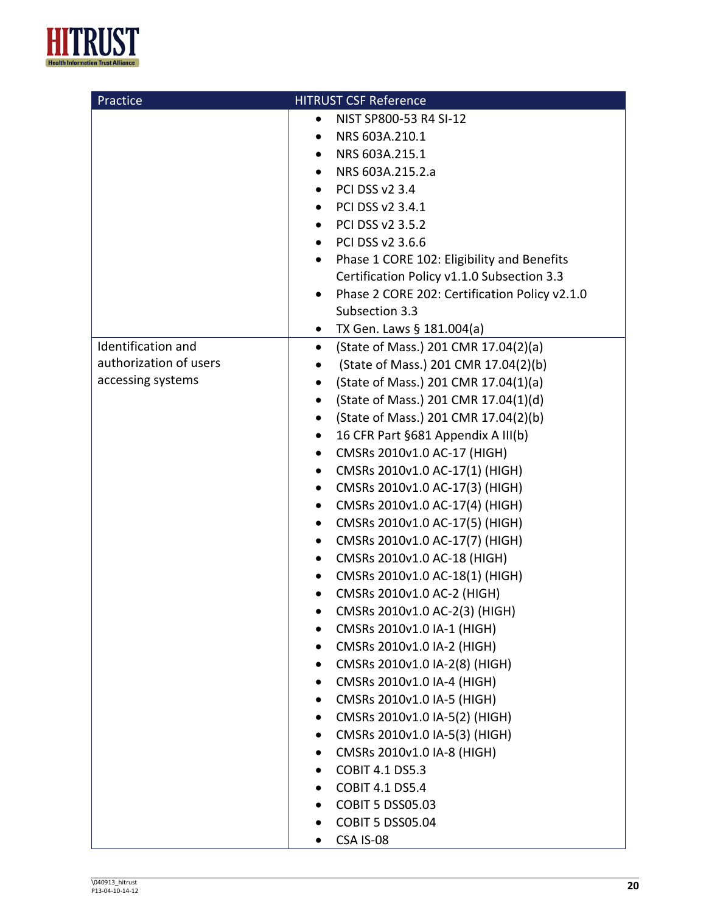

| Practice               | <b>HITRUST CSF Reference</b>                               |
|------------------------|------------------------------------------------------------|
|                        | NIST SP800-53 R4 SI-12<br>$\bullet$                        |
|                        | NRS 603A.210.1                                             |
|                        | NRS 603A.215.1                                             |
|                        | NRS 603A.215.2.a                                           |
|                        | <b>PCI DSS v2 3.4</b><br>$\bullet$                         |
|                        | PCI DSS v2 3.4.1<br>$\bullet$                              |
|                        | PCI DSS v2 3.5.2                                           |
|                        | PCI DSS v2 3.6.6<br>$\bullet$                              |
|                        | Phase 1 CORE 102: Eligibility and Benefits<br>$\bullet$    |
|                        | Certification Policy v1.1.0 Subsection 3.3                 |
|                        | Phase 2 CORE 202: Certification Policy v2.1.0<br>$\bullet$ |
|                        | Subsection 3.3                                             |
|                        | TX Gen. Laws § 181.004(a)<br>$\bullet$                     |
| Identification and     | (State of Mass.) 201 CMR 17.04(2)(a)<br>$\bullet$          |
| authorization of users | (State of Mass.) 201 CMR 17.04(2)(b)<br>$\bullet$          |
| accessing systems      | (State of Mass.) 201 CMR 17.04(1)(a)<br>$\bullet$          |
|                        | (State of Mass.) 201 CMR 17.04(1)(d)<br>$\bullet$          |
|                        | (State of Mass.) 201 CMR 17.04(2)(b)<br>$\bullet$          |
|                        | 16 CFR Part §681 Appendix A III(b)<br>$\bullet$            |
|                        | CMSRs 2010v1.0 AC-17 (HIGH)<br>$\bullet$                   |
|                        | CMSRs 2010v1.0 AC-17(1) (HIGH)<br>٠                        |
|                        | CMSRs 2010v1.0 AC-17(3) (HIGH)<br>$\bullet$                |
|                        | CMSRs 2010v1.0 AC-17(4) (HIGH)<br>٠                        |
|                        | CMSRs 2010v1.0 AC-17(5) (HIGH)<br>$\bullet$                |
|                        | CMSRs 2010v1.0 AC-17(7) (HIGH)<br>٠                        |
|                        | CMSRs 2010v1.0 AC-18 (HIGH)<br>$\bullet$                   |
|                        | CMSRs 2010v1.0 AC-18(1) (HIGH)                             |
|                        | CMSRs 2010v1.0 AC-2 (HIGH)<br>$\bullet$                    |
|                        | CMSRs 2010v1.0 AC-2(3) (HIGH)                              |
|                        | CMSRs 2010v1.0 IA-1 (HIGH)                                 |
|                        | CMSRs 2010v1.0 IA-2 (HIGH)                                 |
|                        | CMSRs 2010v1.0 IA-2(8) (HIGH)                              |
|                        | CMSRs 2010v1.0 IA-4 (HIGH)                                 |
|                        | CMSRs 2010v1.0 IA-5 (HIGH)                                 |
|                        | CMSRs 2010v1.0 IA-5(2) (HIGH)                              |
|                        | CMSRs 2010v1.0 IA-5(3) (HIGH)                              |
|                        | CMSRs 2010v1.0 IA-8 (HIGH)                                 |
|                        | <b>COBIT 4.1 DS5.3</b>                                     |
|                        | <b>COBIT 4.1 DS5.4</b>                                     |
|                        | <b>COBIT 5 DSS05.03</b>                                    |
|                        | <b>COBIT 5 DSS05.04</b>                                    |
|                        | CSA IS-08                                                  |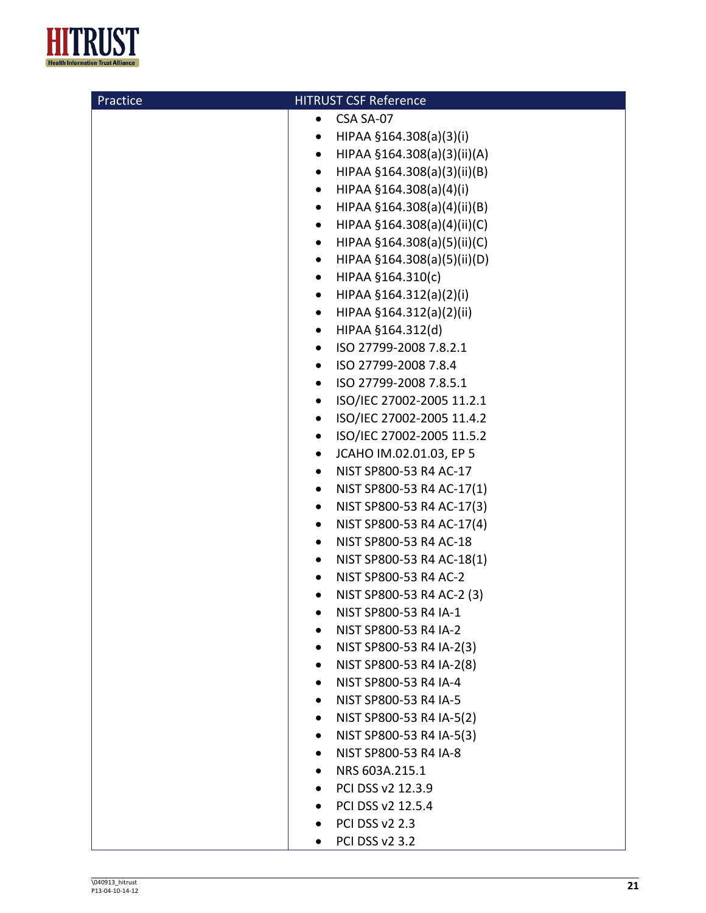

| Practice | <b>HITRUST CSF Reference</b>             |
|----------|------------------------------------------|
|          | CSA SA-07                                |
|          | HIPAA §164.308(a)(3)(i)<br>٠             |
|          | HIPAA §164.308(a)(3)(ii)(A)<br>$\bullet$ |
|          | HIPAA §164.308(a)(3)(ii)(B)<br>$\bullet$ |
|          | HIPAA §164.308(a)(4)(i)<br>$\bullet$     |
|          | HIPAA §164.308(a)(4)(ii)(B)<br>$\bullet$ |
|          | HIPAA §164.308(a)(4)(ii)(C)<br>$\bullet$ |
|          | HIPAA §164.308(a)(5)(ii)(C)<br>$\bullet$ |
|          | HIPAA §164.308(a)(5)(ii)(D)<br>$\bullet$ |
|          | HIPAA §164.310(c)<br>$\bullet$           |
|          | HIPAA §164.312(a)(2)(i)<br>$\bullet$     |
|          | HIPAA §164.312(a)(2)(ii)<br>$\bullet$    |
|          | HIPAA §164.312(d)<br>$\bullet$           |
|          | ISO 27799-2008 7.8.2.1<br>$\bullet$      |
|          | ISO 27799-2008 7.8.4<br>$\bullet$        |
|          | ISO 27799-2008 7.8.5.1<br>$\bullet$      |
|          | ISO/IEC 27002-2005 11.2.1<br>$\bullet$   |
|          | ISO/IEC 27002-2005 11.4.2<br>$\bullet$   |
|          | ISO/IEC 27002-2005 11.5.2<br>$\bullet$   |
|          | JCAHO IM.02.01.03, EP 5<br>$\bullet$     |
|          | NIST SP800-53 R4 AC-17<br>٠              |
|          | NIST SP800-53 R4 AC-17(1)<br>$\bullet$   |
|          | NIST SP800-53 R4 AC-17(3)<br>$\bullet$   |
|          | NIST SP800-53 R4 AC-17(4)<br>$\bullet$   |
|          | NIST SP800-53 R4 AC-18<br>٠              |
|          | NIST SP800-53 R4 AC-18(1)<br>٠           |
|          | NIST SP800-53 R4 AC-2<br>٠               |
|          | NIST SP800-53 R4 AC-2 (3)<br>٠           |
|          | NIST SP800-53 R4 IA-1                    |
|          | NIST SP800-53 R4 IA-2                    |
|          | NIST SP800-53 R4 IA-2(3)                 |
|          | NIST SP800-53 R4 IA-2(8)<br>$\bullet$    |
|          | NIST SP800-53 R4 IA-4                    |
|          | NIST SP800-53 R4 IA-5                    |
|          | NIST SP800-53 R4 IA-5(2)                 |
|          | NIST SP800-53 R4 IA-5(3)                 |
|          | NIST SP800-53 R4 IA-8                    |
|          | NRS 603A.215.1                           |
|          | PCI DSS v2 12.3.9                        |
|          | PCI DSS v2 12.5.4<br>$\bullet$           |
|          | <b>PCI DSS v2 2.3</b>                    |
|          | <b>PCI DSS v2 3.2</b><br>$\bullet$       |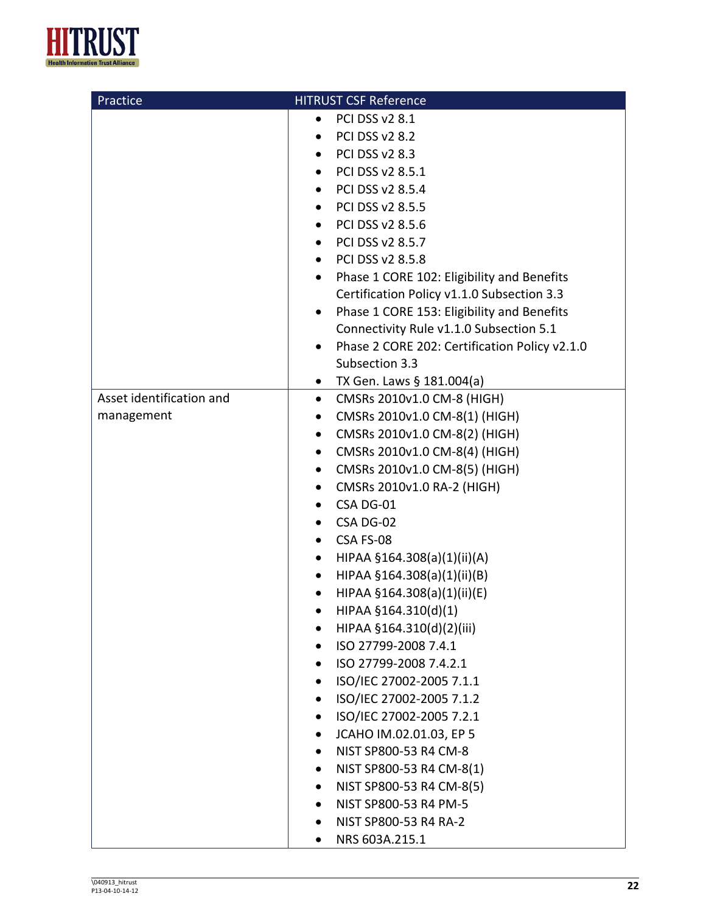

| Practice                 | <b>HITRUST CSF Reference</b>                            |
|--------------------------|---------------------------------------------------------|
|                          | <b>PCI DSS v2 8.1</b><br>$\bullet$                      |
|                          | <b>PCI DSS v2 8.2</b>                                   |
|                          | <b>PCI DSS v2 8.3</b>                                   |
|                          | PCI DSS v2 8.5.1<br>$\bullet$                           |
|                          | PCI DSS v2 8.5.4<br>$\bullet$                           |
|                          | PCI DSS v2 8.5.5<br>$\bullet$                           |
|                          | PCI DSS v2 8.5.6<br>$\bullet$                           |
|                          | PCI DSS v2 8.5.7                                        |
|                          | PCI DSS v2 8.5.8<br>$\bullet$                           |
|                          | Phase 1 CORE 102: Eligibility and Benefits<br>$\bullet$ |
|                          | Certification Policy v1.1.0 Subsection 3.3              |
|                          | Phase 1 CORE 153: Eligibility and Benefits<br>$\bullet$ |
|                          | Connectivity Rule v1.1.0 Subsection 5.1                 |
|                          | Phase 2 CORE 202: Certification Policy v2.1.0<br>٠      |
|                          | Subsection 3.3                                          |
|                          | TX Gen. Laws § 181.004(a)<br>$\bullet$                  |
| Asset identification and | CMSRs 2010v1.0 CM-8 (HIGH)<br>$\bullet$                 |
| management               | CMSRs 2010v1.0 CM-8(1) (HIGH)<br>$\bullet$              |
|                          | CMSRs 2010v1.0 CM-8(2) (HIGH)<br>$\bullet$              |
|                          | CMSRs 2010v1.0 CM-8(4) (HIGH)<br>$\bullet$              |
|                          | CMSRs 2010v1.0 CM-8(5) (HIGH)<br>$\bullet$              |
|                          | CMSRs 2010v1.0 RA-2 (HIGH)<br>$\bullet$                 |
|                          | CSA DG-01                                               |
|                          | CSA DG-02<br>$\bullet$                                  |
|                          | CSA FS-08<br>$\bullet$                                  |
|                          | HIPAA §164.308(a)(1)(ii)(A)<br>$\bullet$                |
|                          | HIPAA §164.308(a)(1)(ii)(B)<br>٠                        |
|                          | HIPAA §164.308(a)(1)(ii)(E)<br>$\bullet$                |
|                          | $HIPAA \$ §164.310(d)(1)                                |
|                          | HIPAA §164.310(d)(2)(iii)                               |
|                          | ISO 27799-2008 7.4.1<br>$\bullet$                       |
|                          | ISO 27799-2008 7.4.2.1                                  |
|                          | ISO/IEC 27002-2005 7.1.1                                |
|                          | ISO/IEC 27002-2005 7.1.2                                |
|                          | ISO/IEC 27002-2005 7.2.1<br>٠                           |
|                          | JCAHO IM.02.01.03, EP 5<br>٠                            |
|                          | NIST SP800-53 R4 CM-8                                   |
|                          | NIST SP800-53 R4 CM-8(1)                                |
|                          | NIST SP800-53 R4 CM-8(5)                                |
|                          | NIST SP800-53 R4 PM-5                                   |
|                          | NIST SP800-53 R4 RA-2                                   |
|                          | NRS 603A.215.1<br>$\bullet$                             |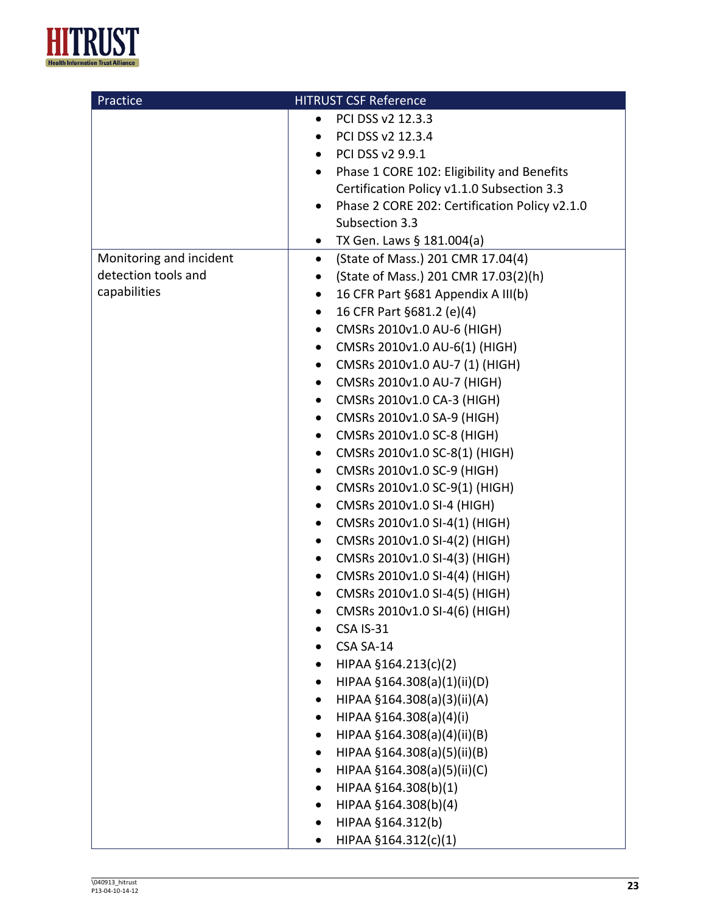

| Practice                | <b>HITRUST CSF Reference</b>                            |
|-------------------------|---------------------------------------------------------|
|                         | PCI DSS v2 12.3.3<br>$\bullet$                          |
|                         | PCI DSS v2 12.3.4                                       |
|                         | PCI DSS v2 9.9.1<br>$\bullet$                           |
|                         | Phase 1 CORE 102: Eligibility and Benefits<br>$\bullet$ |
|                         | Certification Policy v1.1.0 Subsection 3.3              |
|                         | Phase 2 CORE 202: Certification Policy v2.1.0           |
|                         | Subsection 3.3                                          |
|                         | TX Gen. Laws § 181.004(a)<br>$\bullet$                  |
| Monitoring and incident | (State of Mass.) 201 CMR 17.04(4)<br>$\bullet$          |
| detection tools and     | (State of Mass.) 201 CMR 17.03(2)(h)<br>$\bullet$       |
| capabilities            | 16 CFR Part §681 Appendix A III(b)<br>$\bullet$         |
|                         | 16 CFR Part §681.2 (e)(4)<br>$\bullet$                  |
|                         | CMSRs 2010v1.0 AU-6 (HIGH)<br>$\bullet$                 |
|                         | CMSRs 2010v1.0 AU-6(1) (HIGH)<br>٠                      |
|                         | CMSRs 2010v1.0 AU-7 (1) (HIGH)<br>$\bullet$             |
|                         | CMSRs 2010v1.0 AU-7 (HIGH)<br>$\bullet$                 |
|                         | CMSRs 2010v1.0 CA-3 (HIGH)<br>$\bullet$                 |
|                         | CMSRs 2010v1.0 SA-9 (HIGH)<br>$\bullet$                 |
|                         | CMSRs 2010v1.0 SC-8 (HIGH)<br>$\bullet$                 |
|                         | CMSRs 2010v1.0 SC-8(1) (HIGH)<br>$\bullet$              |
|                         | CMSRs 2010v1.0 SC-9 (HIGH)<br>$\bullet$                 |
|                         | CMSRs 2010v1.0 SC-9(1) (HIGH)<br>$\bullet$              |
|                         | CMSRs 2010v1.0 SI-4 (HIGH)<br>$\bullet$                 |
|                         | CMSRs 2010v1.0 SI-4(1) (HIGH)<br>$\bullet$              |
|                         | CMSRs 2010v1.0 SI-4(2) (HIGH)<br>$\bullet$              |
|                         | CMSRs 2010v1.0 SI-4(3) (HIGH)<br>$\bullet$              |
|                         | CMSRs 2010v1.0 SI-4(4) (HIGH)<br>$\bullet$              |
|                         | CMSRs 2010v1.0 SI-4(5) (HIGH)<br>٠                      |
|                         | CMSRs 2010v1.0 SI-4(6) (HIGH)                           |
|                         | <b>CSA IS-31</b>                                        |
|                         | CSA SA-14                                               |
|                         | HIPAA §164.213(c)(2)                                    |
|                         | HIPAA §164.308(a)(1)(ii)(D)                             |
|                         | HIPAA §164.308(a)(3)(ii)(A)                             |
|                         | HIPAA §164.308(a)(4)(i)                                 |
|                         | HIPAA §164.308(a)(4)(ii)(B)                             |
|                         | HIPAA §164.308(a)(5)(ii)(B)                             |
|                         | HIPAA §164.308(a)(5)(ii)(C)                             |
|                         | HIPAA §164.308(b)(1)                                    |
|                         | HIPAA §164.308(b)(4)                                    |
|                         | HIPAA §164.312(b)                                       |
|                         | HIPAA §164.312(c)(1)                                    |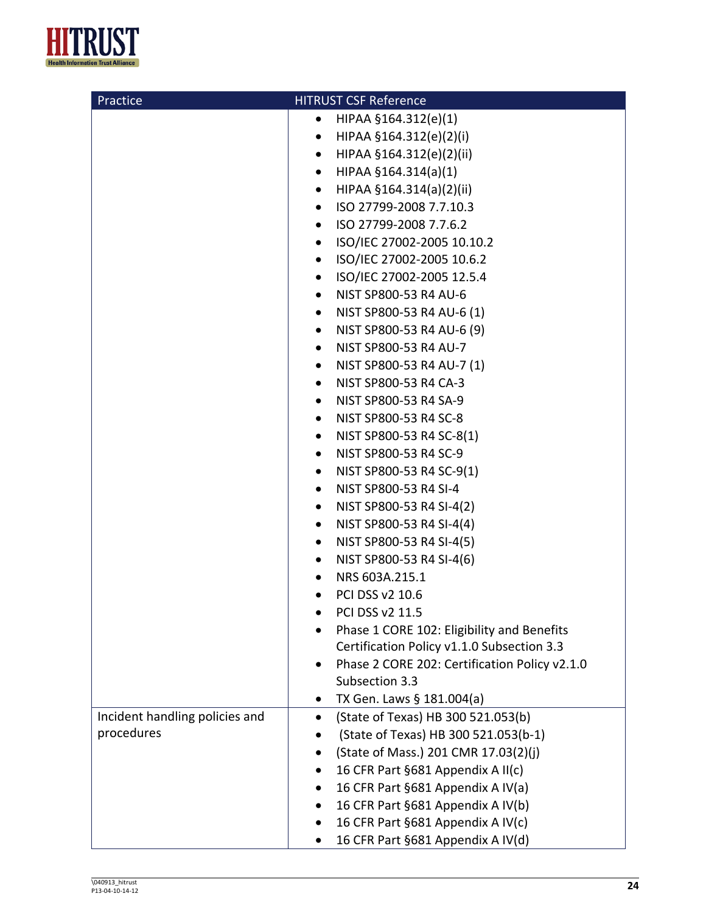

| Practice                       | <b>HITRUST CSF Reference</b>                  |
|--------------------------------|-----------------------------------------------|
|                                | HIPAA §164.312(e)(1)<br>٠                     |
|                                | HIPAA §164.312(e)(2)(i)<br>$\bullet$          |
|                                | HIPAA §164.312(e)(2)(ii)<br>$\bullet$         |
|                                | HIPAA §164.314(a)(1)<br>$\bullet$             |
|                                | HIPAA §164.314(a)(2)(ii)<br>$\bullet$         |
|                                | ISO 27799-2008 7.7.10.3<br>$\bullet$          |
|                                | ISO 27799-2008 7.7.6.2<br>$\bullet$           |
|                                | ISO/IEC 27002-2005 10.10.2<br>$\bullet$       |
|                                | ISO/IEC 27002-2005 10.6.2<br>$\bullet$        |
|                                | ISO/IEC 27002-2005 12.5.4<br>$\bullet$        |
|                                | NIST SP800-53 R4 AU-6<br>$\bullet$            |
|                                | NIST SP800-53 R4 AU-6 (1)<br>$\bullet$        |
|                                | NIST SP800-53 R4 AU-6 (9)<br>$\bullet$        |
|                                | NIST SP800-53 R4 AU-7<br>$\bullet$            |
|                                | NIST SP800-53 R4 AU-7 (1)<br>$\bullet$        |
|                                | NIST SP800-53 R4 CA-3<br>$\bullet$            |
|                                | NIST SP800-53 R4 SA-9<br>$\bullet$            |
|                                | NIST SP800-53 R4 SC-8<br>$\bullet$            |
|                                | NIST SP800-53 R4 SC-8(1)<br>$\bullet$         |
|                                | NIST SP800-53 R4 SC-9<br>$\bullet$            |
|                                | NIST SP800-53 R4 SC-9(1)<br>$\bullet$         |
|                                | NIST SP800-53 R4 SI-4<br>$\bullet$            |
|                                | NIST SP800-53 R4 SI-4(2)<br>$\bullet$         |
|                                | NIST SP800-53 R4 SI-4(4)<br>$\bullet$         |
|                                | NIST SP800-53 R4 SI-4(5)<br>$\bullet$         |
|                                | NIST SP800-53 R4 SI-4(6)<br>$\bullet$         |
|                                | NRS 603A.215.1                                |
|                                | PCI DSS v2 10.6<br>$\bullet$                  |
|                                | PCI DSS v2 11.5                               |
|                                | Phase 1 CORE 102: Eligibility and Benefits    |
|                                | Certification Policy v1.1.0 Subsection 3.3    |
|                                | Phase 2 CORE 202: Certification Policy v2.1.0 |
|                                | Subsection 3.3                                |
|                                | TX Gen. Laws § 181.004(a)                     |
| Incident handling policies and | (State of Texas) HB 300 521.053(b)            |
| procedures                     | (State of Texas) HB 300 521.053(b-1)          |
|                                | (State of Mass.) 201 CMR 17.03(2)(j)          |
|                                | 16 CFR Part §681 Appendix A II(c)             |
|                                | 16 CFR Part §681 Appendix A IV(a)             |
|                                | 16 CFR Part §681 Appendix A IV(b)             |
|                                | 16 CFR Part §681 Appendix A IV(c)             |
|                                | 16 CFR Part §681 Appendix A IV(d)             |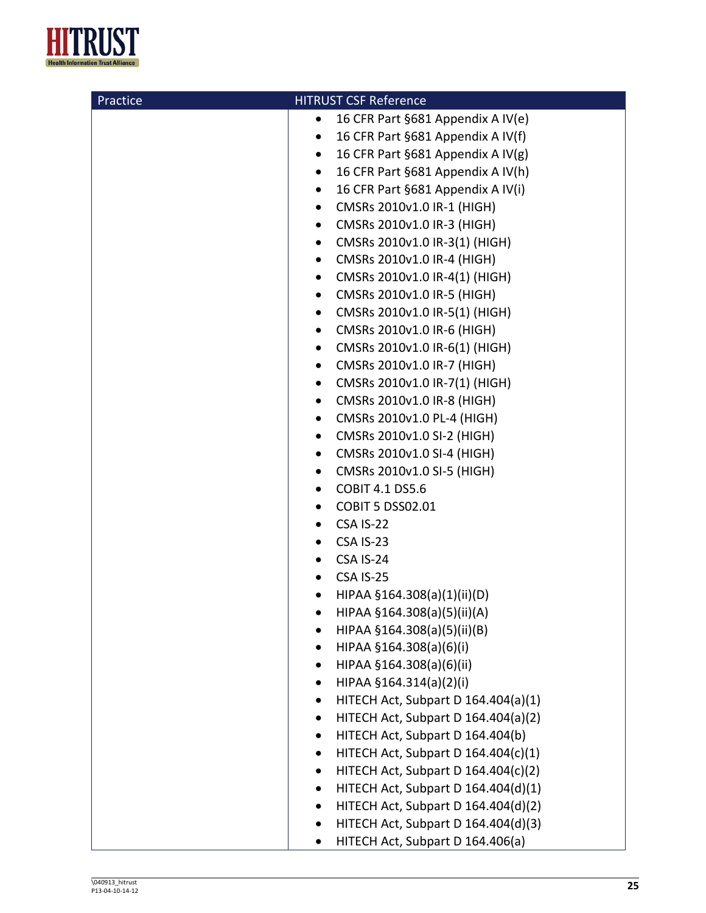

| Practice | <b>HITRUST CSF Reference</b>                     |
|----------|--------------------------------------------------|
|          | 16 CFR Part §681 Appendix A IV(e)<br>٠           |
|          | 16 CFR Part §681 Appendix A IV(f)<br>$\bullet$   |
|          | 16 CFR Part §681 Appendix A IV(g)<br>$\bullet$   |
|          | 16 CFR Part §681 Appendix A IV(h)<br>$\bullet$   |
|          | 16 CFR Part §681 Appendix A IV(i)<br>$\bullet$   |
|          | CMSRs 2010v1.0 IR-1 (HIGH)<br>$\bullet$          |
|          | CMSRs 2010v1.0 IR-3 (HIGH)<br>$\bullet$          |
|          | CMSRs 2010v1.0 IR-3(1) (HIGH)<br>$\bullet$       |
|          | CMSRs 2010v1.0 IR-4 (HIGH)<br>$\bullet$          |
|          | CMSRs 2010v1.0 IR-4(1) (HIGH)<br>$\bullet$       |
|          | CMSRs 2010v1.0 IR-5 (HIGH)<br>$\bullet$          |
|          | CMSRs 2010v1.0 IR-5(1) (HIGH)<br>$\bullet$       |
|          | CMSRs 2010v1.0 IR-6 (HIGH)<br>$\bullet$          |
|          | CMSRs 2010v1.0 IR-6(1) (HIGH)<br>$\bullet$       |
|          | CMSRs 2010v1.0 IR-7 (HIGH)<br>$\bullet$          |
|          | CMSRs 2010v1.0 IR-7(1) (HIGH)<br>$\bullet$       |
|          | CMSRs 2010v1.0 IR-8 (HIGH)<br>$\bullet$          |
|          | CMSRs 2010v1.0 PL-4 (HIGH)<br>$\bullet$          |
|          | CMSRs 2010v1.0 SI-2 (HIGH)<br>$\bullet$          |
|          | CMSRs 2010v1.0 SI-4 (HIGH)<br>$\bullet$          |
|          | CMSRs 2010v1.0 SI-5 (HIGH)<br>$\bullet$          |
|          | <b>COBIT 4.1 DS5.6</b><br>$\bullet$              |
|          | <b>COBIT 5 DSS02.01</b><br>$\bullet$             |
|          | CSA IS-22<br>$\bullet$                           |
|          | CSA IS-23<br>$\bullet$                           |
|          | CSA IS-24<br>٠                                   |
|          | CSA IS-25<br>$\bullet$                           |
|          | HIPAA §164.308(a)(1)(ii)(D)<br>٠                 |
|          | HIPAA §164.308(a)(5)(ii)(A)                      |
|          | HIPAA §164.308(a)(5)(ii)(B)                      |
|          | HIPAA §164.308(a)(6)(i)<br>٠                     |
|          | HIPAA §164.308(a)(6)(ii)<br>٠                    |
|          | HIPAA §164.314(a)(2)(i)<br>$\bullet$             |
|          | HITECH Act, Subpart D 164.404(a)(1)<br>٠         |
|          | HITECH Act, Subpart D 164.404(a)(2)<br>$\bullet$ |
|          | HITECH Act, Subpart D 164.404(b)<br>$\bullet$    |
|          | HITECH Act, Subpart D 164.404(c)(1)<br>$\bullet$ |
|          | HITECH Act, Subpart D 164.404(c)(2)<br>$\bullet$ |
|          | HITECH Act, Subpart D 164.404(d)(1)<br>$\bullet$ |
|          | HITECH Act, Subpart D 164.404(d)(2)<br>$\bullet$ |
|          | HITECH Act, Subpart D 164.404(d)(3)<br>٠         |
|          | HITECH Act, Subpart D 164.406(a)                 |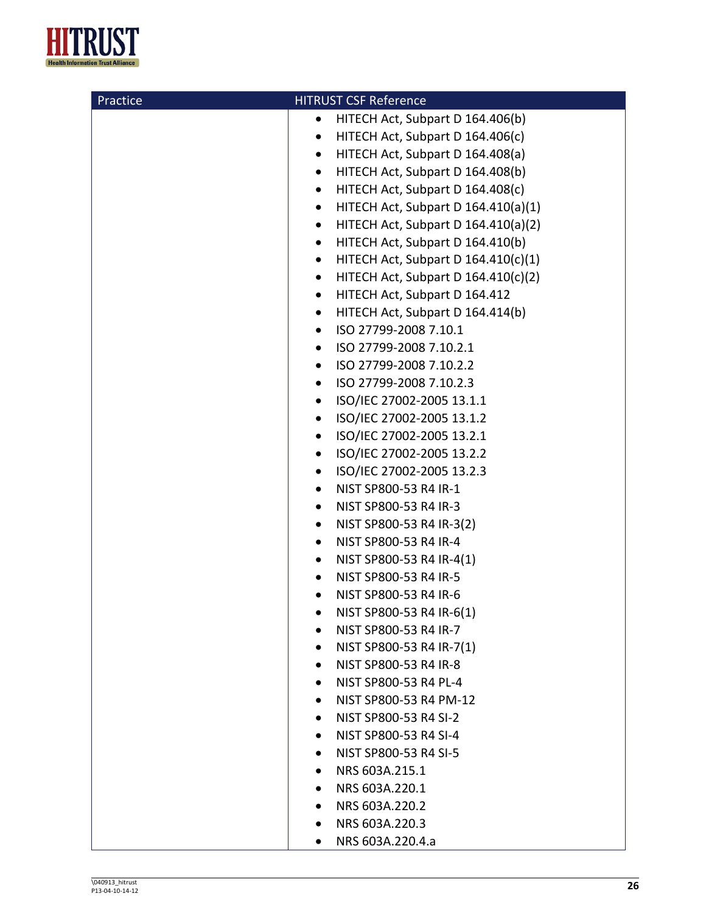

| Practice | <b>HITRUST CSF Reference</b>                       |
|----------|----------------------------------------------------|
|          | HITECH Act, Subpart D 164.406(b)<br>$\bullet$      |
|          | HITECH Act, Subpart D 164.406(c)<br>$\bullet$      |
|          | HITECH Act, Subpart D 164.408(a)<br>$\bullet$      |
|          | HITECH Act, Subpart D 164.408(b)<br>$\bullet$      |
|          | HITECH Act, Subpart D 164.408(c)<br>$\bullet$      |
|          | HITECH Act, Subpart D 164.410(a)(1)<br>$\bullet$   |
|          | HITECH Act, Subpart D 164.410(a)(2)<br>$\bullet$   |
|          | HITECH Act, Subpart D 164.410(b)<br>$\bullet$      |
|          | HITECH Act, Subpart D $164.410(c)(1)$<br>$\bullet$ |
|          | HITECH Act, Subpart D $164.410(c)(2)$<br>$\bullet$ |
|          | HITECH Act, Subpart D 164.412<br>$\bullet$         |
|          | HITECH Act, Subpart D 164.414(b)<br>$\bullet$      |
|          | ISO 27799-2008 7.10.1<br>$\bullet$                 |
|          | ISO 27799-2008 7.10.2.1<br>$\bullet$               |
|          | ISO 27799-2008 7.10.2.2<br>$\bullet$               |
|          | ISO 27799-2008 7.10.2.3<br>٠                       |
|          | ISO/IEC 27002-2005 13.1.1<br>$\bullet$             |
|          | ISO/IEC 27002-2005 13.1.2<br>$\bullet$             |
|          | ISO/IEC 27002-2005 13.2.1<br>$\bullet$             |
|          | ISO/IEC 27002-2005 13.2.2<br>$\bullet$             |
|          | ISO/IEC 27002-2005 13.2.3<br>$\bullet$             |
|          | NIST SP800-53 R4 IR-1<br>$\bullet$                 |
|          | NIST SP800-53 R4 IR-3<br>$\bullet$                 |
|          | NIST SP800-53 R4 IR-3(2)<br>$\bullet$              |
|          | NIST SP800-53 R4 IR-4<br>$\bullet$                 |
|          | NIST SP800-53 R4 IR-4(1)<br>$\bullet$              |
|          | NIST SP800-53 R4 IR-5<br>$\bullet$                 |
|          | NIST SP800-53 R4 IR-6<br>$\bullet$                 |
|          | NIST SP800-53 R4 IR-6(1)                           |
|          | NIST SP800-53 R4 IR-7                              |
|          | NIST SP800-53 R4 IR-7(1)<br>$\bullet$              |
|          | NIST SP800-53 R4 IR-8<br>٠                         |
|          | NIST SP800-53 R4 PL-4<br>$\bullet$                 |
|          | NIST SP800-53 R4 PM-12<br>$\bullet$                |
|          | NIST SP800-53 R4 SI-2                              |
|          | NIST SP800-53 R4 SI-4<br>$\bullet$                 |
|          | NIST SP800-53 R4 SI-5                              |
|          | NRS 603A.215.1                                     |
|          | NRS 603A.220.1                                     |
|          | NRS 603A.220.2                                     |
|          | NRS 603A.220.3<br>$\bullet$                        |
|          | NRS 603A.220.4.a                                   |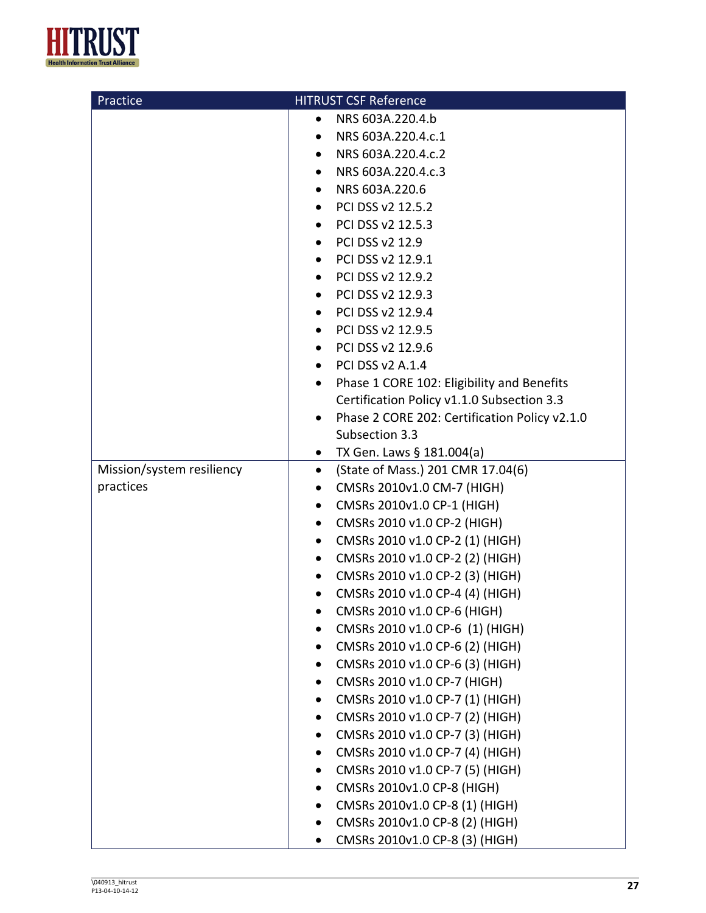

| Practice                  | <b>HITRUST CSF Reference</b>                            |
|---------------------------|---------------------------------------------------------|
|                           | NRS 603A.220.4.b<br>٠                                   |
|                           | NRS 603A.220.4.c.1<br>$\bullet$                         |
|                           | NRS 603A.220.4.c.2<br>$\bullet$                         |
|                           | NRS 603A.220.4.c.3<br>$\bullet$                         |
|                           | NRS 603A.220.6<br>$\bullet$                             |
|                           | PCI DSS v2 12.5.2<br>$\bullet$                          |
|                           | PCI DSS v2 12.5.3<br>$\bullet$                          |
|                           | PCI DSS v2 12.9<br>$\bullet$                            |
|                           | PCI DSS v2 12.9.1<br>$\bullet$                          |
|                           | PCI DSS v2 12.9.2                                       |
|                           | PCI DSS v2 12.9.3                                       |
|                           | PCI DSS v2 12.9.4<br>$\bullet$                          |
|                           | PCI DSS v2 12.9.5<br>$\bullet$                          |
|                           | PCI DSS v2 12.9.6                                       |
|                           | <b>PCI DSS v2 A.1.4</b><br>$\bullet$                    |
|                           | Phase 1 CORE 102: Eligibility and Benefits<br>$\bullet$ |
|                           | Certification Policy v1.1.0 Subsection 3.3              |
|                           | Phase 2 CORE 202: Certification Policy v2.1.0           |
|                           | Subsection 3.3                                          |
|                           | TX Gen. Laws § 181.004(a)<br>$\bullet$                  |
| Mission/system resiliency | (State of Mass.) 201 CMR 17.04(6)<br>$\bullet$          |
| practices                 | CMSRs 2010v1.0 CM-7 (HIGH)<br>$\bullet$                 |
|                           | CMSRs 2010v1.0 CP-1 (HIGH)<br>$\bullet$                 |
|                           | CMSRs 2010 v1.0 CP-2 (HIGH)<br>$\bullet$                |
|                           | CMSRs 2010 v1.0 CP-2 (1) (HIGH)<br>$\bullet$            |
|                           | CMSRs 2010 v1.0 CP-2 (2) (HIGH)<br>$\bullet$            |
|                           | CMSRs 2010 v1.0 CP-2 (3) (HIGH)<br>$\bullet$            |
|                           | CMSRs 2010 v1.0 CP-4 (4) (HIGH)<br>$\bullet$            |
|                           | CMSRs 2010 v1.0 CP-6 (HIGH)                             |
|                           | CMSRs 2010 v1.0 CP-6 (1) (HIGH)                         |
|                           | CMSRs 2010 v1.0 CP-6 (2) (HIGH)<br>$\bullet$            |
|                           | CMSRs 2010 v1.0 CP-6 (3) (HIGH)                         |
|                           | CMSRs 2010 v1.0 CP-7 (HIGH)                             |
|                           | CMSRs 2010 v1.0 CP-7 (1) (HIGH)                         |
|                           | CMSRs 2010 v1.0 CP-7 (2) (HIGH)<br>٠                    |
|                           | CMSRs 2010 v1.0 CP-7 (3) (HIGH)<br>٠                    |
|                           | CMSRs 2010 v1.0 CP-7 (4) (HIGH)<br>٠                    |
|                           | CMSRs 2010 v1.0 CP-7 (5) (HIGH)                         |
|                           | CMSRs 2010v1.0 CP-8 (HIGH)                              |
|                           | CMSRs 2010v1.0 CP-8 (1) (HIGH)                          |
|                           | CMSRs 2010v1.0 CP-8 (2) (HIGH)                          |
|                           | CMSRs 2010v1.0 CP-8 (3) (HIGH)<br>٠                     |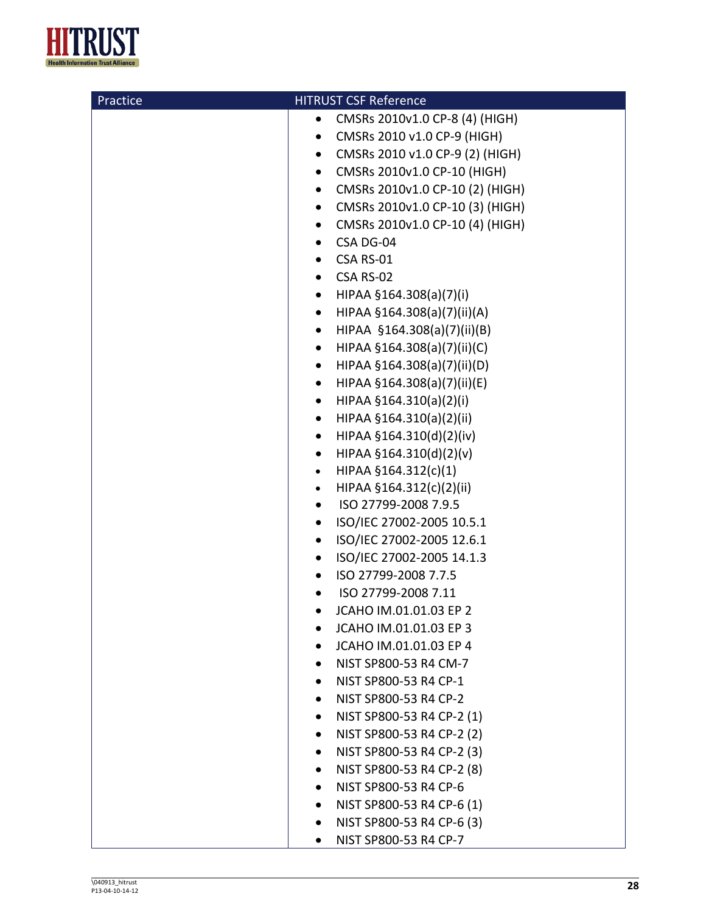

| Practice | <b>HITRUST CSF Reference</b>                 |
|----------|----------------------------------------------|
|          | CMSRs 2010v1.0 CP-8 (4) (HIGH)<br>$\bullet$  |
|          | CMSRs 2010 v1.0 CP-9 (HIGH)<br>$\bullet$     |
|          | CMSRs 2010 v1.0 CP-9 (2) (HIGH)<br>$\bullet$ |
|          | CMSRs 2010v1.0 CP-10 (HIGH)<br>$\bullet$     |
|          | CMSRs 2010v1.0 CP-10 (2) (HIGH)<br>$\bullet$ |
|          | CMSRs 2010v1.0 CP-10 (3) (HIGH)<br>$\bullet$ |
|          | CMSRs 2010v1.0 CP-10 (4) (HIGH)<br>$\bullet$ |
|          | CSA DG-04<br>$\bullet$                       |
|          | CSA RS-01<br>$\bullet$                       |
|          | CSA RS-02<br>$\bullet$                       |
|          | HIPAA §164.308(a)(7)(i)<br>$\bullet$         |
|          | HIPAA §164.308(a)(7)(ii)(A)<br>$\bullet$     |
|          | HIPAA §164.308(a)(7)(ii)(B)<br>$\bullet$     |
|          | HIPAA §164.308(a)(7)(ii)(C)<br>$\bullet$     |
|          | HIPAA §164.308(a)(7)(ii)(D)<br>$\bullet$     |
|          | HIPAA §164.308(a)(7)(ii)(E)<br>$\bullet$     |
|          | HIPAA §164.310(a)(2)(i)<br>$\bullet$         |
|          | HIPAA §164.310(a)(2)(ii)<br>$\bullet$        |
|          | HIPAA §164.310(d)(2)(iv)<br>$\bullet$        |
|          | HIPAA §164.310(d)(2)(v)<br>$\bullet$         |
|          | HIPAA §164.312(c)(1)<br>$\bullet$            |
|          | HIPAA §164.312(c)(2)(ii)<br>$\bullet$        |
|          | ISO 27799-2008 7.9.5<br>$\bullet$            |
|          | ISO/IEC 27002-2005 10.5.1<br>$\bullet$       |
|          | ISO/IEC 27002-2005 12.6.1<br>$\bullet$       |
|          | ISO/IEC 27002-2005 14.1.3<br>$\bullet$       |
|          | ISO 27799-2008 7.7.5<br>$\bullet$            |
|          | ISO 27799-2008 7.11<br>$\bullet$             |
|          | JCAHO IM.01.01.03 EP 2                       |
|          | JCAHO IM.01.01.03 EP 3                       |
|          | JCAHO IM.01.01.03 EP 4                       |
|          | NIST SP800-53 R4 CM-7<br>$\bullet$           |
|          | NIST SP800-53 R4 CP-1<br>$\bullet$           |
|          | NIST SP800-53 R4 CP-2                        |
|          | NIST SP800-53 R4 CP-2 (1)<br>$\bullet$       |
|          | NIST SP800-53 R4 CP-2 (2)<br>$\bullet$       |
|          | NIST SP800-53 R4 CP-2 (3)<br>$\bullet$       |
|          | NIST SP800-53 R4 CP-2 (8)<br>$\bullet$       |
|          | NIST SP800-53 R4 CP-6<br>$\bullet$           |
|          | NIST SP800-53 R4 CP-6 (1)<br>$\bullet$       |
|          | NIST SP800-53 R4 CP-6 (3)<br>٠               |
|          | NIST SP800-53 R4 CP-7<br>$\bullet$           |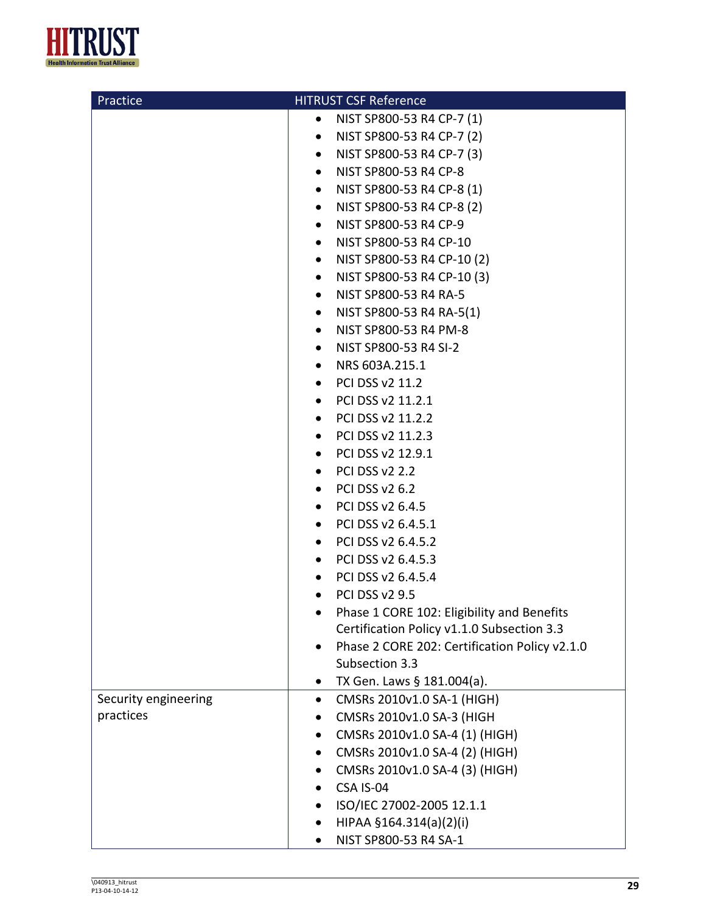

| Practice                          | <b>HITRUST CSF Reference</b>                                 |
|-----------------------------------|--------------------------------------------------------------|
|                                   | NIST SP800-53 R4 CP-7 (1)<br>$\bullet$                       |
|                                   | NIST SP800-53 R4 CP-7 (2)<br>$\bullet$                       |
|                                   | NIST SP800-53 R4 CP-7 (3)<br>$\bullet$                       |
|                                   | NIST SP800-53 R4 CP-8<br>$\bullet$                           |
|                                   | NIST SP800-53 R4 CP-8 (1)<br>$\bullet$                       |
|                                   | NIST SP800-53 R4 CP-8 (2)<br>$\bullet$                       |
|                                   | NIST SP800-53 R4 CP-9<br>$\bullet$                           |
|                                   | NIST SP800-53 R4 CP-10<br>$\bullet$                          |
|                                   | NIST SP800-53 R4 CP-10 (2)<br>$\bullet$                      |
|                                   | NIST SP800-53 R4 CP-10 (3)<br>$\bullet$                      |
|                                   | NIST SP800-53 R4 RA-5<br>$\bullet$                           |
|                                   | NIST SP800-53 R4 RA-5(1)<br>$\bullet$                        |
|                                   | NIST SP800-53 R4 PM-8<br>$\bullet$                           |
|                                   | NIST SP800-53 R4 SI-2<br>$\bullet$                           |
|                                   | NRS 603A.215.1<br>$\bullet$                                  |
|                                   | PCI DSS v2 11.2<br>$\bullet$                                 |
|                                   | PCI DSS v2 11.2.1                                            |
|                                   | PCI DSS v2 11.2.2<br>$\bullet$                               |
|                                   | PCI DSS v2 11.2.3<br>$\bullet$                               |
|                                   | PCI DSS v2 12.9.1                                            |
|                                   | $\bullet$ PCI DSS v2 2.2                                     |
|                                   | $\bullet$ PCI DSS v2 6.2                                     |
|                                   | PCI DSS v2 6.4.5<br>$\bullet$                                |
|                                   | PCI DSS v2 6.4.5.1<br>$\bullet$                              |
|                                   | PCI DSS v2 6.4.5.2<br>$\bullet$                              |
|                                   | PCI DSS v2 6.4.5.3                                           |
|                                   | PCI DSS v2 6.4.5.4                                           |
|                                   | $\bullet$ PCI DSS v2 9.5                                     |
|                                   | Phase 1 CORE 102: Eligibility and Benefits                   |
|                                   | Certification Policy v1.1.0 Subsection 3.3                   |
|                                   | Phase 2 CORE 202: Certification Policy v2.1.0                |
|                                   | Subsection 3.3                                               |
|                                   | TX Gen. Laws § 181.004(a).                                   |
| Security engineering<br>practices | CMSRs 2010v1.0 SA-1 (HIGH)<br>٠<br>CMSRs 2010v1.0 SA-3 (HIGH |
|                                   | CMSRs 2010v1.0 SA-4 (1) (HIGH)                               |
|                                   | CMSRs 2010v1.0 SA-4 (2) (HIGH)                               |
|                                   | CMSRs 2010v1.0 SA-4 (3) (HIGH)                               |
|                                   | CSA IS-04                                                    |
|                                   | ISO/IEC 27002-2005 12.1.1                                    |
|                                   | HIPAA §164.314(a)(2)(i)                                      |
|                                   | NIST SP800-53 R4 SA-1                                        |
|                                   |                                                              |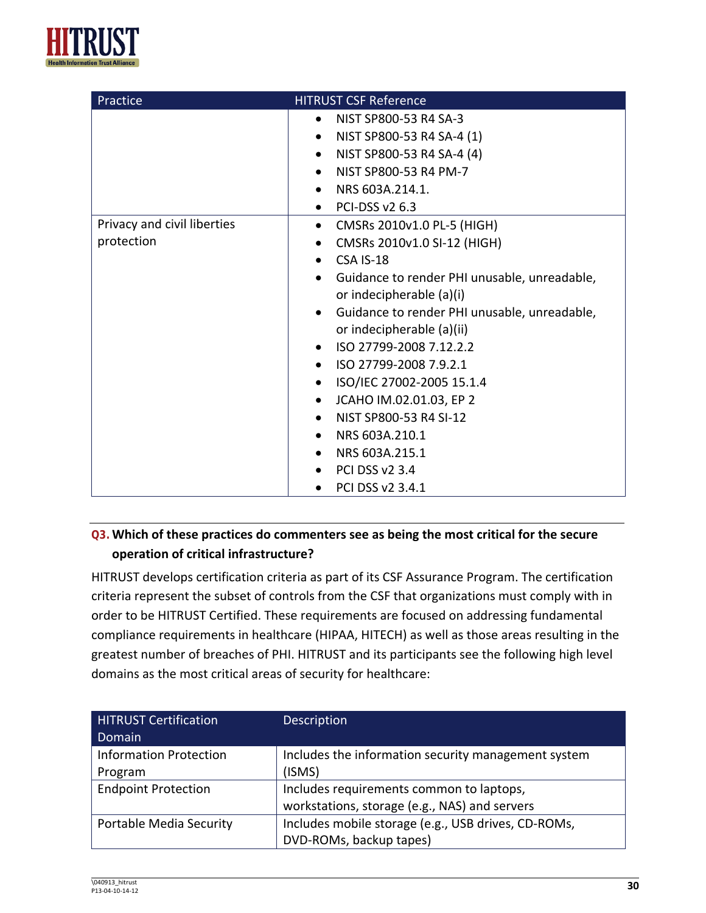

| Practice                                  | <b>HITRUST CSF Reference</b>                                                                                                                                                                                                                                                                                                                                                                                                                                                                                                                                           |
|-------------------------------------------|------------------------------------------------------------------------------------------------------------------------------------------------------------------------------------------------------------------------------------------------------------------------------------------------------------------------------------------------------------------------------------------------------------------------------------------------------------------------------------------------------------------------------------------------------------------------|
|                                           | NIST SP800-53 R4 SA-3<br>$\bullet$<br>NIST SP800-53 R4 SA-4 (1)<br>$\bullet$<br>NIST SP800-53 R4 SA-4 (4)<br>$\bullet$<br>NIST SP800-53 R4 PM-7<br>NRS 603A.214.1.<br>$\bullet$<br>$\bullet$ PCI-DSS v2 6.3                                                                                                                                                                                                                                                                                                                                                            |
| Privacy and civil liberties<br>protection | • CMSRs 2010v1.0 PL-5 (HIGH)<br>CMSRs 2010v1.0 SI-12 (HIGH)<br>٠<br>CSA IS-18<br>$\bullet$<br>Guidance to render PHI unusable, unreadable,<br>$\bullet$<br>or indecipherable (a)(i)<br>Guidance to render PHI unusable, unreadable,<br>$\bullet$<br>or indecipherable (a)(ii)<br>ISO 27799-2008 7.12.2.2<br>$\bullet$<br>ISO 27799-2008 7.9.2.1<br>$\bullet$<br>ISO/IEC 27002-2005 15.1.4<br>$\bullet$<br>JCAHO IM.02.01.03, EP 2<br>$\bullet$<br>NIST SP800-53 R4 SI-12<br>$\bullet$<br>NRS 603A.210.1<br>NRS 603A.215.1<br><b>PCI DSS v2 3.4</b><br>PCI DSS v2 3.4.1 |

## **Q3.Which of these practices do commenters see as being the most critical for the secure operation of critical infrastructure?**

HITRUST develops certification criteria as part of its CSF Assurance Program. The certification criteria represent the subset of controls from the CSF that organizations must comply with in order to be HITRUST Certified. These requirements are focused on addressing fundamental compliance requirements in healthcare (HIPAA, HITECH) as well as those areas resulting in the greatest number of breaches of PHI. HITRUST and its participants see the following high level domains as the most critical areas of security for healthcare:

| <b>HITRUST Certification</b>  | <b>Description</b>                                  |
|-------------------------------|-----------------------------------------------------|
| Domain                        |                                                     |
| <b>Information Protection</b> | Includes the information security management system |
| Program                       | (ISMS)                                              |
| <b>Endpoint Protection</b>    | Includes requirements common to laptops,            |
|                               | workstations, storage (e.g., NAS) and servers       |
| Portable Media Security       | Includes mobile storage (e.g., USB drives, CD-ROMs, |
|                               | DVD-ROMs, backup tapes)                             |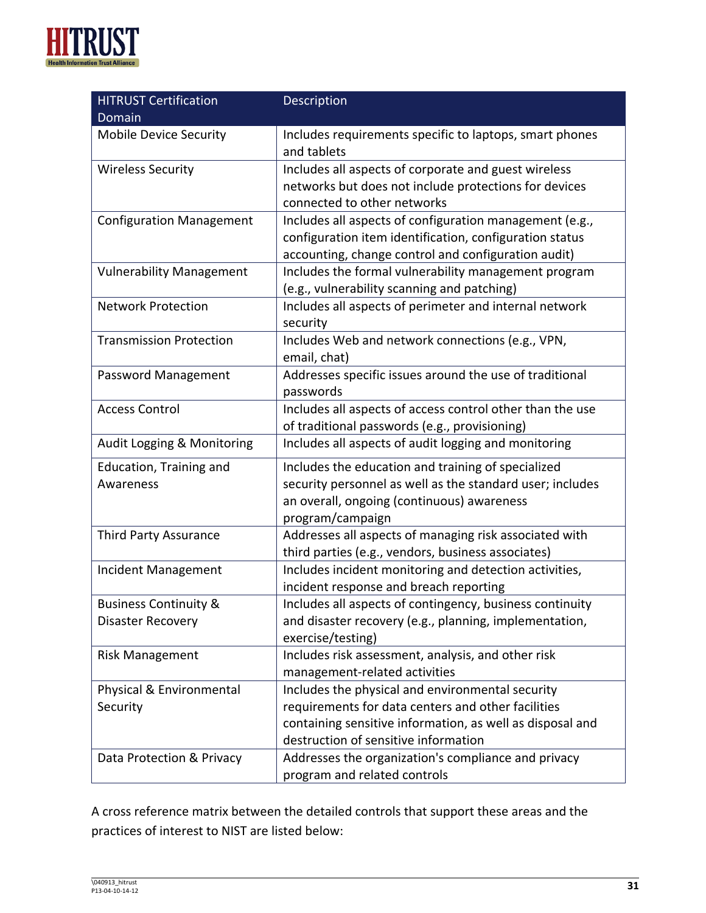

| <b>HITRUST Certification</b>     | Description                                               |  |
|----------------------------------|-----------------------------------------------------------|--|
| Domain                           |                                                           |  |
| <b>Mobile Device Security</b>    | Includes requirements specific to laptops, smart phones   |  |
|                                  | and tablets                                               |  |
| <b>Wireless Security</b>         | Includes all aspects of corporate and guest wireless      |  |
|                                  | networks but does not include protections for devices     |  |
|                                  | connected to other networks                               |  |
| <b>Configuration Management</b>  | Includes all aspects of configuration management (e.g.,   |  |
|                                  | configuration item identification, configuration status   |  |
|                                  | accounting, change control and configuration audit)       |  |
| <b>Vulnerability Management</b>  | Includes the formal vulnerability management program      |  |
|                                  | (e.g., vulnerability scanning and patching)               |  |
| <b>Network Protection</b>        | Includes all aspects of perimeter and internal network    |  |
|                                  | security                                                  |  |
| <b>Transmission Protection</b>   | Includes Web and network connections (e.g., VPN,          |  |
|                                  | email, chat)                                              |  |
| Password Management              | Addresses specific issues around the use of traditional   |  |
|                                  | passwords                                                 |  |
| <b>Access Control</b>            | Includes all aspects of access control other than the use |  |
|                                  | of traditional passwords (e.g., provisioning)             |  |
| Audit Logging & Monitoring       | Includes all aspects of audit logging and monitoring      |  |
| Education, Training and          | Includes the education and training of specialized        |  |
| Awareness                        | security personnel as well as the standard user; includes |  |
|                                  | an overall, ongoing (continuous) awareness                |  |
|                                  | program/campaign                                          |  |
| Third Party Assurance            | Addresses all aspects of managing risk associated with    |  |
|                                  | third parties (e.g., vendors, business associates)        |  |
| Incident Management              | Includes incident monitoring and detection activities,    |  |
|                                  | incident response and breach reporting                    |  |
| <b>Business Continuity &amp;</b> | Includes all aspects of contingency, business continuity  |  |
| <b>Disaster Recovery</b>         | and disaster recovery (e.g., planning, implementation,    |  |
|                                  | exercise/testing)                                         |  |
| <b>Risk Management</b>           | Includes risk assessment, analysis, and other risk        |  |
|                                  | management-related activities                             |  |
| Physical & Environmental         | Includes the physical and environmental security          |  |
| Security                         | requirements for data centers and other facilities        |  |
|                                  | containing sensitive information, as well as disposal and |  |
|                                  | destruction of sensitive information                      |  |
| Data Protection & Privacy        | Addresses the organization's compliance and privacy       |  |
|                                  | program and related controls                              |  |

A cross reference matrix between the detailed controls that support these areas and the practices of interest to NIST are listed below: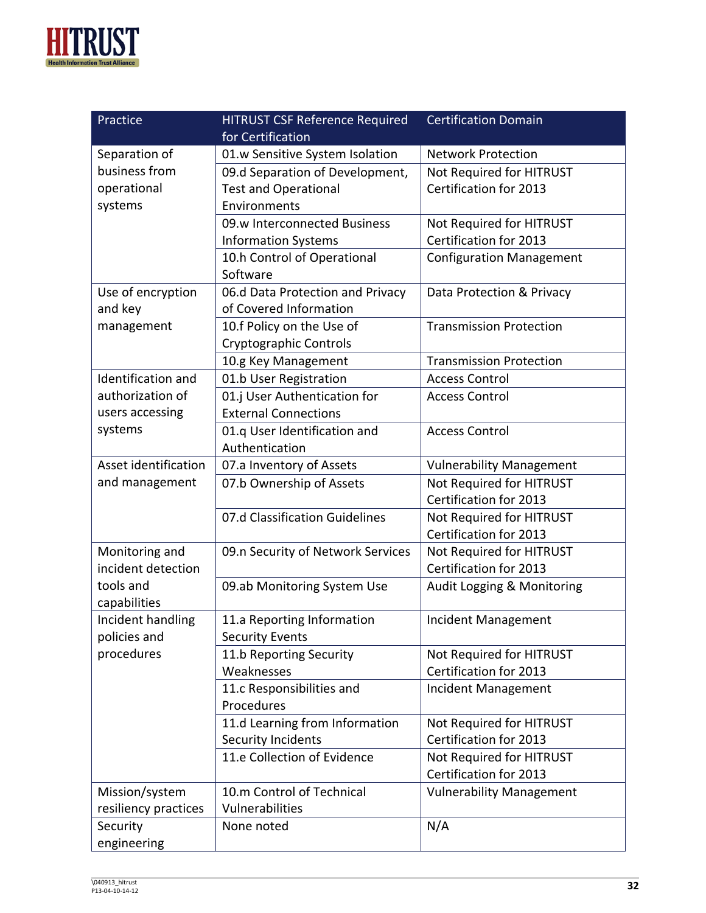

| Practice                  | <b>HITRUST CSF Reference Required</b> | <b>Certification Domain</b>     |
|---------------------------|---------------------------------------|---------------------------------|
|                           | for Certification                     |                                 |
| Separation of             | 01.w Sensitive System Isolation       | <b>Network Protection</b>       |
| business from             | 09.d Separation of Development,       | Not Required for HITRUST        |
| operational               | <b>Test and Operational</b>           | Certification for 2013          |
| systems                   | Environments                          |                                 |
|                           | 09.w Interconnected Business          | Not Required for HITRUST        |
|                           | <b>Information Systems</b>            | Certification for 2013          |
|                           | 10.h Control of Operational           | <b>Configuration Management</b> |
|                           | Software                              |                                 |
| Use of encryption         | 06.d Data Protection and Privacy      | Data Protection & Privacy       |
| and key                   | of Covered Information                |                                 |
| management                | 10.f Policy on the Use of             | <b>Transmission Protection</b>  |
|                           | Cryptographic Controls                |                                 |
|                           | 10.g Key Management                   | <b>Transmission Protection</b>  |
| <b>Identification and</b> | 01.b User Registration                | <b>Access Control</b>           |
| authorization of          | 01.j User Authentication for          | <b>Access Control</b>           |
| users accessing           | <b>External Connections</b>           |                                 |
| systems                   | 01.q User Identification and          | <b>Access Control</b>           |
|                           | Authentication                        |                                 |
| Asset identification      | 07.a Inventory of Assets              | <b>Vulnerability Management</b> |
| and management            | 07.b Ownership of Assets              | Not Required for HITRUST        |
|                           |                                       | Certification for 2013          |
|                           | 07.d Classification Guidelines        | Not Required for HITRUST        |
|                           |                                       | Certification for 2013          |
| Monitoring and            | 09.n Security of Network Services     | Not Required for HITRUST        |
| incident detection        |                                       | Certification for 2013          |
| tools and                 | 09.ab Monitoring System Use           | Audit Logging & Monitoring      |
| capabilities              |                                       |                                 |
| Incident handling         | 11.a Reporting Information            | Incident Management             |
| policies and              | <b>Security Events</b>                |                                 |
| procedures                | 11.b Reporting Security               | Not Required for HITRUST        |
|                           | Weaknesses                            | Certification for 2013          |
|                           | 11.c Responsibilities and             | Incident Management             |
|                           | Procedures                            |                                 |
|                           | 11.d Learning from Information        | Not Required for HITRUST        |
|                           | Security Incidents                    | <b>Certification for 2013</b>   |
|                           | 11.e Collection of Evidence           | Not Required for HITRUST        |
|                           |                                       | Certification for 2013          |
| Mission/system            | 10.m Control of Technical             | <b>Vulnerability Management</b> |
| resiliency practices      | Vulnerabilities                       |                                 |
| Security                  | None noted                            | N/A                             |
| engineering               |                                       |                                 |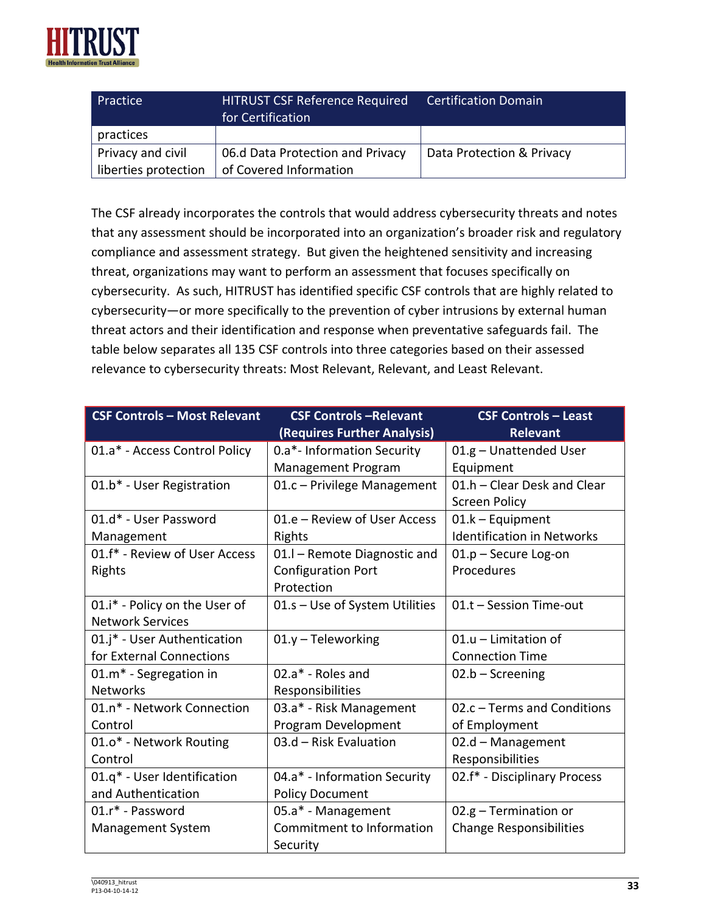

| Practice             | <b>HITRUST CSF Reference Required</b><br>for Certification | <b>Certification Domain</b> |
|----------------------|------------------------------------------------------------|-----------------------------|
| practices            |                                                            |                             |
| Privacy and civil    | 06.d Data Protection and Privacy                           | Data Protection & Privacy   |
| liberties protection | of Covered Information                                     |                             |

The CSF already incorporates the controls that would address cybersecurity threats and notes that any assessment should be incorporated into an organization's broader risk and regulatory compliance and assessment strategy. But given the heightened sensitivity and increasing threat, organizations may want to perform an assessment that focuses specifically on cybersecurity. As such, HITRUST has identified specific CSF controls that are highly related to cybersecurity—or more specifically to the prevention of cyber intrusions by external human threat actors and their identification and response when preventative safeguards fail. The table below separates all 135 CSF controls into three categories based on their assessed relevance to cybersecurity threats: Most Relevant, Relevant, and Least Relevant.

| <b>CSF Controls - Most Relevant</b> | <b>CSF Controls-Relevant</b><br>(Requires Further Analysis) | <b>CSF Controls - Least</b><br><b>Relevant</b> |
|-------------------------------------|-------------------------------------------------------------|------------------------------------------------|
| 01.a* - Access Control Policy       | 0.a*- Information Security                                  | 01.g - Unattended User                         |
|                                     | Management Program                                          | Equipment                                      |
| 01.b* - User Registration           | 01.c - Privilege Management                                 | 01.h - Clear Desk and Clear                    |
|                                     |                                                             | <b>Screen Policy</b>                           |
| 01.d* - User Password               | 01.e - Review of User Access                                | $01.k - Equipment$                             |
| Management                          | Rights                                                      | <b>Identification in Networks</b>              |
| 01.f* - Review of User Access       | 01. - Remote Diagnostic and                                 | 01.p - Secure Log-on                           |
| Rights                              | <b>Configuration Port</b>                                   | Procedures                                     |
|                                     | Protection                                                  |                                                |
| 01.i* - Policy on the User of       | 01.s - Use of System Utilities                              | 01.t - Session Time-out                        |
| <b>Network Services</b>             |                                                             |                                                |
| 01.j* - User Authentication         | $01.y - Teleworthy$                                         | 01.u - Limitation of                           |
| for External Connections            |                                                             | <b>Connection Time</b>                         |
| 01.m <sup>*</sup> - Segregation in  | 02.a* - Roles and                                           | $02.b -$ Screening                             |
| <b>Networks</b>                     | Responsibilities                                            |                                                |
| 01.n* - Network Connection          | 03.a* - Risk Management                                     | 02.c - Terms and Conditions                    |
| Control                             | Program Development                                         | of Employment                                  |
| 01.0* - Network Routing             | 03.d - Risk Evaluation                                      | 02.d - Management                              |
| Control                             |                                                             | Responsibilities                               |
| 01.q* - User Identification         | 04.a* - Information Security                                | 02.f* - Disciplinary Process                   |
| and Authentication                  | <b>Policy Document</b>                                      |                                                |
| 01.r* - Password                    | 05.a* - Management                                          | $02.g - Termination$                           |
| <b>Management System</b>            | Commitment to Information                                   | <b>Change Responsibilities</b>                 |
|                                     | Security                                                    |                                                |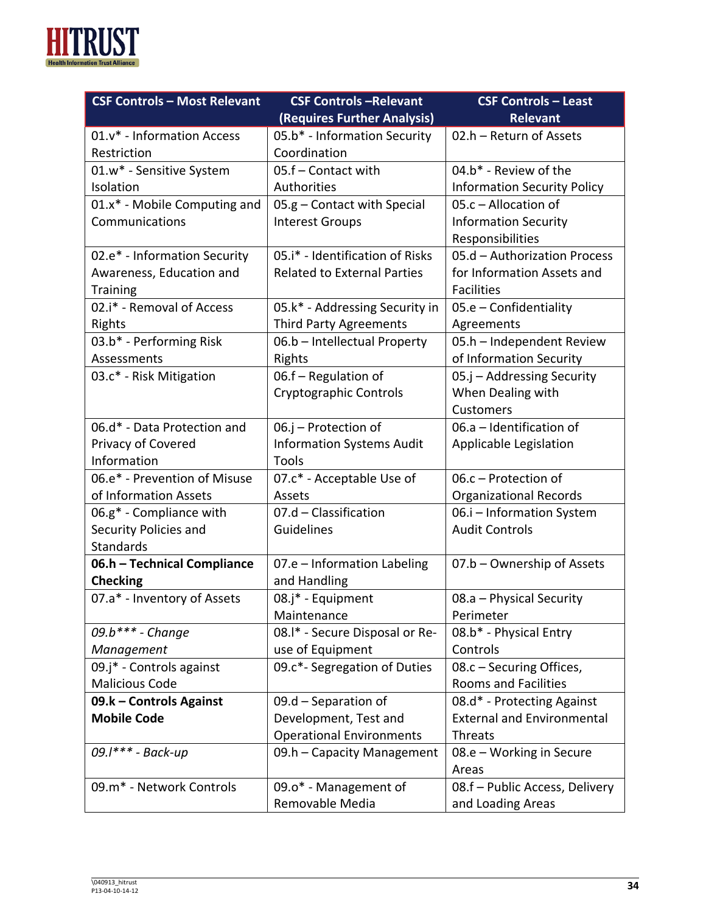

| <b>CSF Controls - Most Relevant</b> | <b>CSF Controls-Relevant</b>       | <b>CSF Controls - Least</b>        |
|-------------------------------------|------------------------------------|------------------------------------|
|                                     | (Requires Further Analysis)        | Relevant                           |
| 01.v* - Information Access          | 05.b* - Information Security       | 02.h - Return of Assets            |
| Restriction                         | Coordination                       |                                    |
| 01.w* - Sensitive System            | 05.f - Contact with                | 04.b* - Review of the              |
| Isolation                           | Authorities                        | <b>Information Security Policy</b> |
| 01.x* - Mobile Computing and        | 05.g - Contact with Special        | 05.c - Allocation of               |
| Communications                      | <b>Interest Groups</b>             | <b>Information Security</b>        |
|                                     |                                    | Responsibilities                   |
| 02.e* - Information Security        | 05.i* - Identification of Risks    | 05.d - Authorization Process       |
| Awareness, Education and            | <b>Related to External Parties</b> | for Information Assets and         |
| <b>Training</b>                     |                                    | <b>Facilities</b>                  |
| 02.i* - Removal of Access           | 05.k* - Addressing Security in     | $05.e$ – Confidentiality           |
| Rights                              | <b>Third Party Agreements</b>      | Agreements                         |
| 03.b* - Performing Risk             | 06.b - Intellectual Property       | 05.h - Independent Review          |
| Assessments                         | Rights                             | of Information Security            |
| 03.c* - Risk Mitigation             | 06.f - Regulation of               | 05.j - Addressing Security         |
|                                     | Cryptographic Controls             | When Dealing with                  |
|                                     |                                    | Customers                          |
| 06.d* - Data Protection and         | 06.j - Protection of               | 06.a - Identification of           |
| Privacy of Covered                  | <b>Information Systems Audit</b>   | Applicable Legislation             |
| Information                         | Tools                              |                                    |
| 06.e* - Prevention of Misuse        | 07.c* - Acceptable Use of          | 06.c - Protection of               |
| of Information Assets               | Assets                             | <b>Organizational Records</b>      |
| 06.g* - Compliance with             | 07.d - Classification              | 06.i - Information System          |
| Security Policies and               | Guidelines                         | <b>Audit Controls</b>              |
| Standards                           |                                    |                                    |
| 06.h - Technical Compliance         | 07.e - Information Labeling        | 07.b - Ownership of Assets         |
| <b>Checking</b>                     | and Handling                       |                                    |
| 07.a* - Inventory of Assets         | 08.j* - Equipment                  | 08.a - Physical Security           |
|                                     | Maintenance                        | Perimeter                          |
| 09.b*** - Change                    | 08.1* - Secure Disposal or Re-     | 08.b* - Physical Entry             |
| Management                          | use of Equipment                   | Controls                           |
| 09.j* - Controls against            | 09.c*- Segregation of Duties       | 08.c - Securing Offices,           |
| <b>Malicious Code</b>               |                                    | <b>Rooms and Facilities</b>        |
| 09.k - Controls Against             | 09.d - Separation of               | 08.d* - Protecting Against         |
| <b>Mobile Code</b>                  | Development, Test and              | <b>External and Environmental</b>  |
|                                     | <b>Operational Environments</b>    | Threats                            |
| 09.1*** - Back-up                   | 09.h - Capacity Management         | 08.e - Working in Secure           |
|                                     |                                    | Areas                              |
| 09.m* - Network Controls            | 09.o* - Management of              | 08.f - Public Access, Delivery     |
|                                     | Removable Media                    | and Loading Areas                  |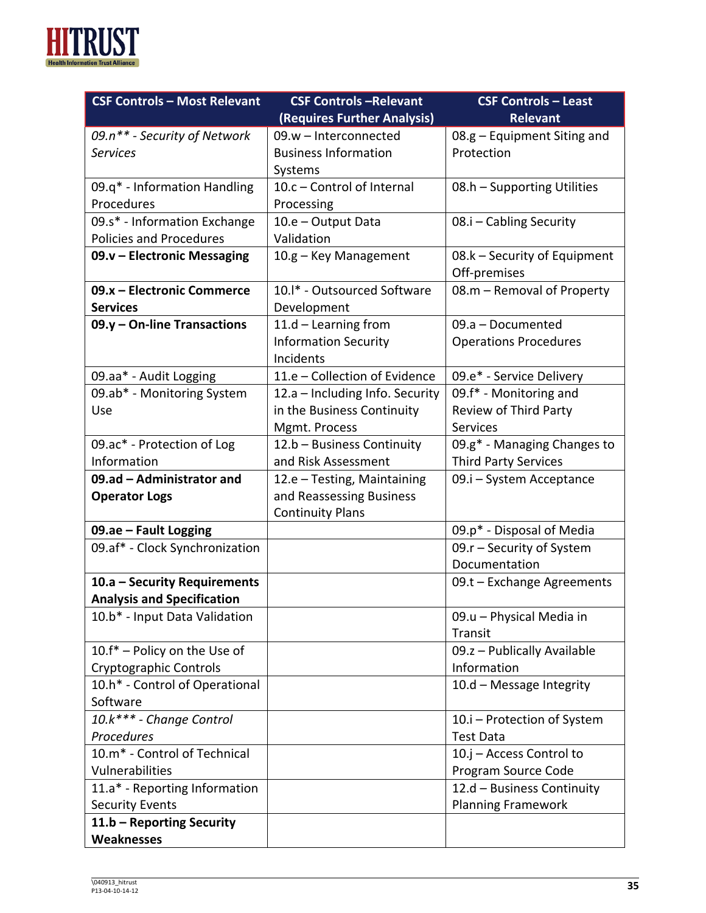

| <b>CSF Controls - Most Relevant</b>        | <b>CSF Controls-Relevant</b>    | <b>CSF Controls - Least</b>                  |
|--------------------------------------------|---------------------------------|----------------------------------------------|
|                                            | (Requires Further Analysis)     | <b>Relevant</b>                              |
| 09.n** - Security of Network               | 09.w - Interconnected           | 08.g - Equipment Siting and                  |
| <b>Services</b>                            | <b>Business Information</b>     | Protection                                   |
|                                            | Systems                         |                                              |
| 09.q* - Information Handling               | 10.c - Control of Internal      | 08.h - Supporting Utilities                  |
| Procedures                                 | Processing                      |                                              |
| 09.s* - Information Exchange               | 10.e - Output Data              | 08.i - Cabling Security                      |
| <b>Policies and Procedures</b>             | Validation                      |                                              |
| 09.v - Electronic Messaging                | 10.g - Key Management           | 08.k – Security of Equipment<br>Off-premises |
| 09.x - Electronic Commerce                 | 10.1* - Outsourced Software     | 08.m - Removal of Property                   |
| <b>Services</b>                            | Development                     |                                              |
| 09.y - On-line Transactions                | $11.d - Learning from$          | 09.a - Documented                            |
|                                            | <b>Information Security</b>     | <b>Operations Procedures</b>                 |
|                                            | Incidents                       |                                              |
| 09.aa* - Audit Logging                     | 11.e - Collection of Evidence   | 09.e* - Service Delivery                     |
| 09.ab* - Monitoring System                 | 12.a - Including Info. Security | 09.f* - Monitoring and                       |
| Use                                        | in the Business Continuity      | <b>Review of Third Party</b>                 |
|                                            | Mgmt. Process                   | <b>Services</b>                              |
| 09.ac* - Protection of Log                 | 12.b - Business Continuity      | 09.g* - Managing Changes to                  |
| Information                                | and Risk Assessment             | <b>Third Party Services</b>                  |
| 09.ad - Administrator and                  | 12.e - Testing, Maintaining     | 09.i – System Acceptance                     |
| <b>Operator Logs</b>                       | and Reassessing Business        |                                              |
|                                            | <b>Continuity Plans</b>         |                                              |
| 09.ae - Fault Logging                      |                                 | 09.p* - Disposal of Media                    |
| 09.af* - Clock Synchronization             |                                 | 09.r - Security of System                    |
|                                            |                                 | Documentation                                |
| 10.a - Security Requirements               |                                 | $09.t$ – Exchange Agreements                 |
| <b>Analysis and Specification</b>          |                                 |                                              |
| 10.b* - Input Data Validation              |                                 | 09.u - Physical Media in                     |
|                                            |                                 | Transit                                      |
| 10.f* - Policy on the Use of               |                                 | 09.z - Publically Available                  |
| Cryptographic Controls                     |                                 | Information                                  |
| 10.h* - Control of Operational             |                                 | 10.d - Message Integrity                     |
| Software                                   |                                 |                                              |
| 10.k*** - Change Control                   |                                 | 10.i - Protection of System                  |
| Procedures<br>10.m* - Control of Technical |                                 | <b>Test Data</b><br>10.j - Access Control to |
| Vulnerabilities                            |                                 | Program Source Code                          |
| 11.a* - Reporting Information              |                                 | 12.d - Business Continuity                   |
| <b>Security Events</b>                     |                                 | <b>Planning Framework</b>                    |
| 11.b - Reporting Security                  |                                 |                                              |
| Weaknesses                                 |                                 |                                              |
|                                            |                                 |                                              |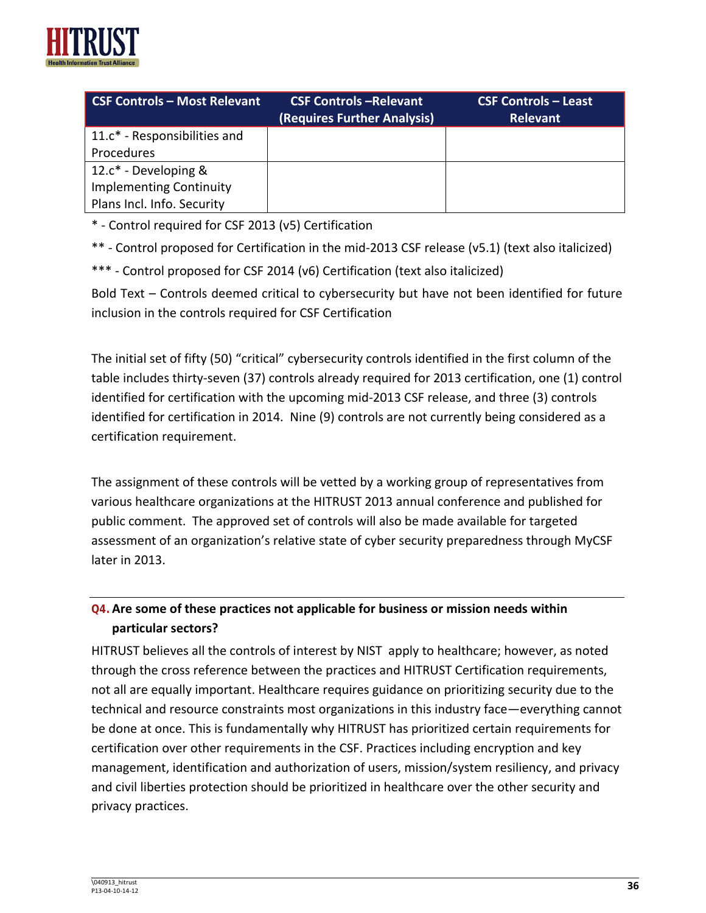

| <b>CSF Controls - Most Relevant</b> | <b>CSF Controls -Relevant</b><br>(Requires Further Analysis) | <b>CSF Controls - Least</b><br><b>Relevant</b> |
|-------------------------------------|--------------------------------------------------------------|------------------------------------------------|
| 11.c* - Responsibilities and        |                                                              |                                                |
| Procedures                          |                                                              |                                                |
| 12. $c^*$ - Developing &            |                                                              |                                                |
| <b>Implementing Continuity</b>      |                                                              |                                                |
| Plans Incl. Info. Security          |                                                              |                                                |

\* - Control required for CSF 2013 (v5) Certification

\*\* - Control proposed for Certification in the mid-2013 CSF release (v5.1) (text also italicized)

\*\*\* - Control proposed for CSF 2014 (v6) Certification (text also italicized)

Bold Text – Controls deemed critical to cybersecurity but have not been identified for future inclusion in the controls required for CSF Certification

The initial set of fifty (50) "critical" cybersecurity controls identified in the first column of the table includes thirty-seven (37) controls already required for 2013 certification, one (1) control identified for certification with the upcoming mid-2013 CSF release, and three (3) controls identified for certification in 2014. Nine (9) controls are not currently being considered as a certification requirement.

The assignment of these controls will be vetted by a working group of representatives from various healthcare organizations at the HITRUST 2013 annual conference and published for public comment. The approved set of controls will also be made available for targeted assessment of an organization's relative state of cyber security preparedness through MyCSF later in 2013.

## **Q4.Are some of these practices not applicable for business or mission needs within particular sectors?**

HITRUST believes all the controls of interest by NIST apply to healthcare; however, as noted through the cross reference between the practices and HITRUST Certification requirements, not all are equally important. Healthcare requires guidance on prioritizing security due to the technical and resource constraints most organizations in this industry face—everything cannot be done at once. This is fundamentally why HITRUST has prioritized certain requirements for certification over other requirements in the CSF. Practices including encryption and key management, identification and authorization of users, mission/system resiliency, and privacy and civil liberties protection should be prioritized in healthcare over the other security and privacy practices.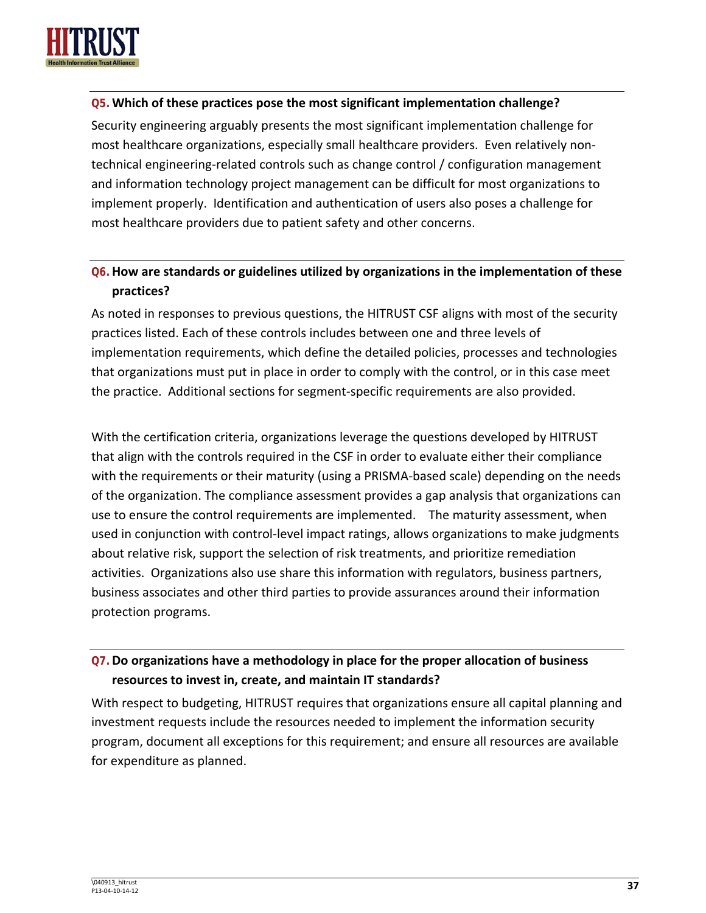

#### **Q5.Which of these practices pose the most significant implementation challenge?**

Security engineering arguably presents the most significant implementation challenge for most healthcare organizations, especially small healthcare providers. Even relatively nontechnical engineering-related controls such as change control / configuration management and information technology project management can be difficult for most organizations to implement properly. Identification and authentication of users also poses a challenge for most healthcare providers due to patient safety and other concerns.

## **Q6.How are standards or guidelines utilized by organizations in the implementation of these practices?**

As noted in responses to previous questions, the HITRUST CSF aligns with most of the security practices listed. Each of these controls includes between one and three levels of implementation requirements, which define the detailed policies, processes and technologies that organizations must put in place in order to comply with the control, or in this case meet the practice. Additional sections for segment-specific requirements are also provided.

With the certification criteria, organizations leverage the questions developed by HITRUST that align with the controls required in the CSF in order to evaluate either their compliance with the requirements or their maturity (using a PRISMA-based scale) depending on the needs of the organization. The compliance assessment provides a gap analysis that organizations can use to ensure the control requirements are implemented. The maturity assessment, when used in conjunction with control-level impact ratings, allows organizations to make judgments about relative risk, support the selection of risk treatments, and prioritize remediation activities. Organizations also use share this information with regulators, business partners, business associates and other third parties to provide assurances around their information protection programs.

## **Q7.Do organizations have a methodology in place for the proper allocation of business resources to invest in, create, and maintain IT standards?**

With respect to budgeting, HITRUST requires that organizations ensure all capital planning and investment requests include the resources needed to implement the information security program, document all exceptions for this requirement; and ensure all resources are available for expenditure as planned.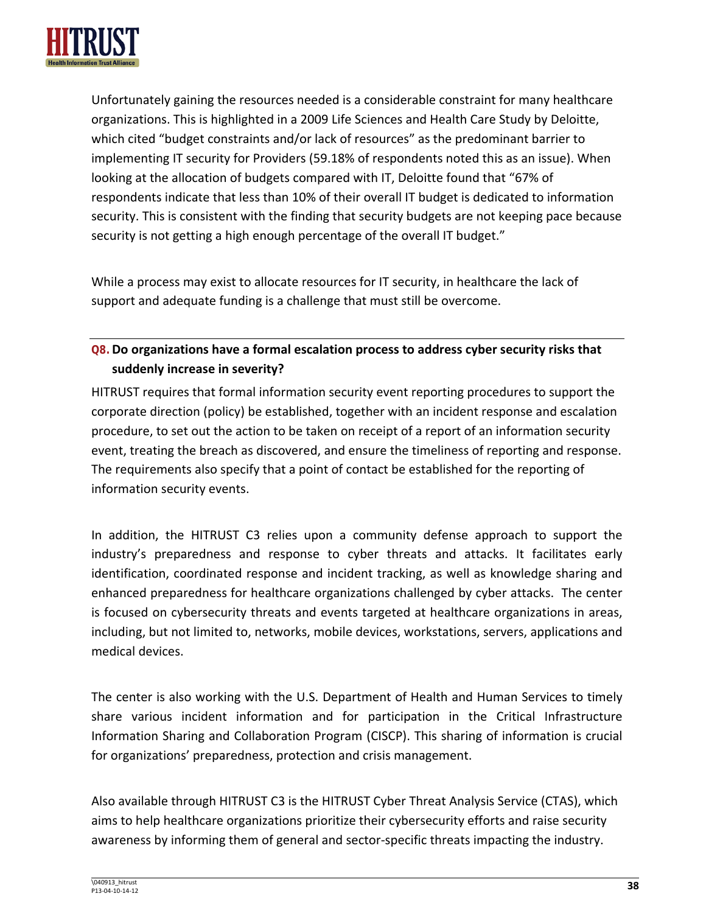

Unfortunately gaining the resources needed is a considerable constraint for many healthcare organizations. This is highlighted in a 2009 Life Sciences and Health Care Study by Deloitte, which cited "budget constraints and/or lack of resources" as the predominant barrier to implementing IT security for Providers (59.18% of respondents noted this as an issue). When looking at the allocation of budgets compared with IT, Deloitte found that "67% of respondents indicate that less than 10% of their overall IT budget is dedicated to information security. This is consistent with the finding that security budgets are not keeping pace because security is not getting a high enough percentage of the overall IT budget."

While a process may exist to allocate resources for IT security, in healthcare the lack of support and adequate funding is a challenge that must still be overcome.

## **Q8.Do organizations have a formal escalation process to address cyber security risks that suddenly increase in severity?**

HITRUST requires that formal information security event reporting procedures to support the corporate direction (policy) be established, together with an incident response and escalation procedure, to set out the action to be taken on receipt of a report of an information security event, treating the breach as discovered, and ensure the timeliness of reporting and response. The requirements also specify that a point of contact be established for the reporting of information security events.

In addition, the HITRUST C3 relies upon a community defense approach to support the industry's preparedness and response to cyber threats and attacks. It facilitates early identification, coordinated response and incident tracking, as well as knowledge sharing and enhanced preparedness for healthcare organizations challenged by cyber attacks. The center is focused on cybersecurity threats and events targeted at healthcare organizations in areas, including, but not limited to, networks, mobile devices, workstations, servers, applications and medical devices.

The center is also working with the U.S. Department of Health and Human Services to timely share various incident information and for participation in the Critical Infrastructure Information Sharing and Collaboration Program (CISCP). This sharing of information is crucial for organizations' preparedness, protection and crisis management.

Also available through HITRUST C3 is the HITRUST Cyber Threat Analysis Service (CTAS), which aims to help healthcare organizations prioritize their cybersecurity efforts and raise security awareness by informing them of general and sector-specific threats impacting the industry.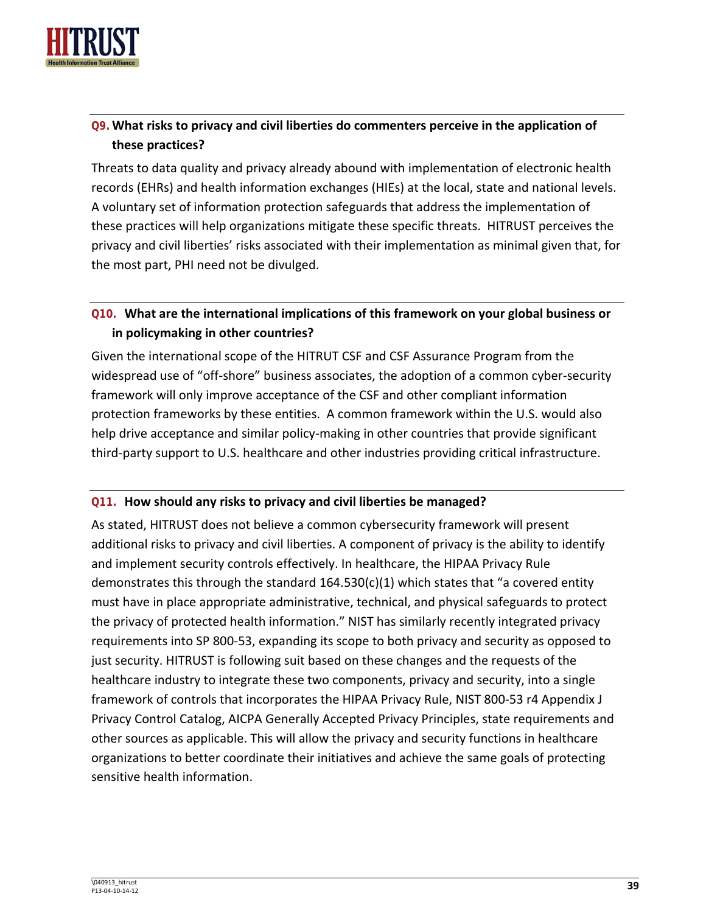

## **Q9.What risks to privacy and civil liberties do commenters perceive in the application of these practices?**

Threats to data quality and privacy already abound with implementation of electronic health records (EHRs) and health information exchanges (HIEs) at the local, state and national levels. A voluntary set of information protection safeguards that address the implementation of these practices will help organizations mitigate these specific threats. HITRUST perceives the privacy and civil liberties' risks associated with their implementation as minimal given that, for the most part, PHI need not be divulged.

## **Q10. What are the international implications of this framework on your global business or in policymaking in other countries?**

Given the international scope of the HITRUT CSF and CSF Assurance Program from the widespread use of "off-shore" business associates, the adoption of a common cyber-security framework will only improve acceptance of the CSF and other compliant information protection frameworks by these entities. A common framework within the U.S. would also help drive acceptance and similar policy-making in other countries that provide significant third-party support to U.S. healthcare and other industries providing critical infrastructure.

#### **Q11. How should any risks to privacy and civil liberties be managed?**

As stated, HITRUST does not believe a common cybersecurity framework will present additional risks to privacy and civil liberties. A component of privacy is the ability to identify and implement security controls effectively. In healthcare, the HIPAA Privacy Rule demonstrates this through the standard 164.530(c)(1) which states that "a covered entity must have in place appropriate administrative, technical, and physical safeguards to protect the privacy of protected health information." NIST has similarly recently integrated privacy requirements into SP 800-53, expanding its scope to both privacy and security as opposed to just security. HITRUST is following suit based on these changes and the requests of the healthcare industry to integrate these two components, privacy and security, into a single framework of controls that incorporates the HIPAA Privacy Rule, NIST 800-53 r4 Appendix J Privacy Control Catalog, AICPA Generally Accepted Privacy Principles, state requirements and other sources as applicable. This will allow the privacy and security functions in healthcare organizations to better coordinate their initiatives and achieve the same goals of protecting sensitive health information.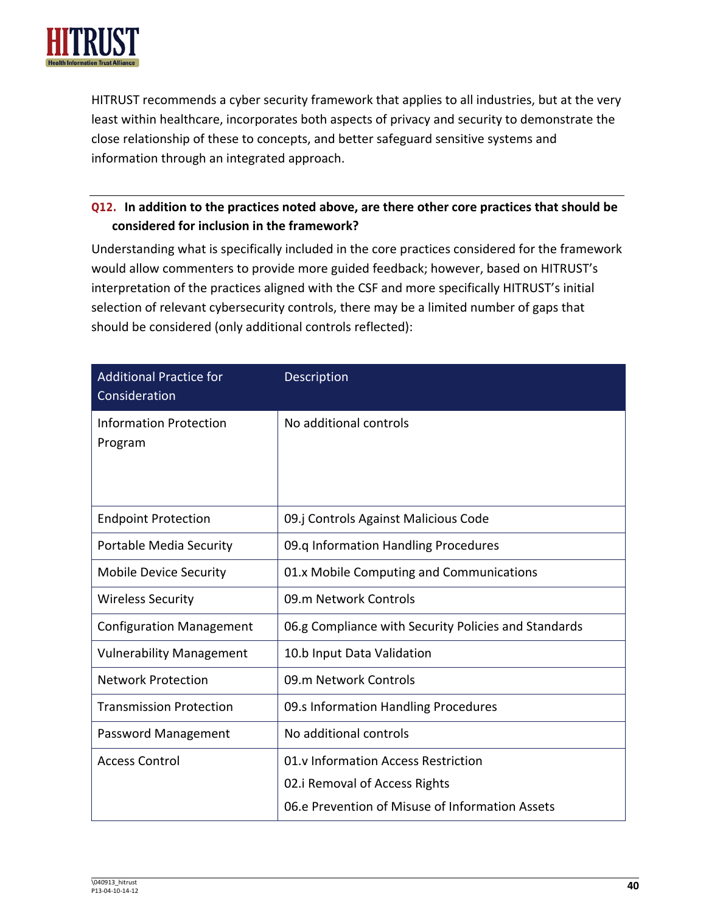

HITRUST recommends a cyber security framework that applies to all industries, but at the very least within healthcare, incorporates both aspects of privacy and security to demonstrate the close relationship of these to concepts, and better safeguard sensitive systems and information through an integrated approach.

## **Q12. In addition to the practices noted above, are there other core practices that should be considered for inclusion in the framework?**

Understanding what is specifically included in the core practices considered for the framework would allow commenters to provide more guided feedback; however, based on HITRUST's interpretation of the practices aligned with the CSF and more specifically HITRUST's initial selection of relevant cybersecurity controls, there may be a limited number of gaps that should be considered (only additional controls reflected):

| <b>Additional Practice for</b><br>Consideration | Description                                                                                                             |
|-------------------------------------------------|-------------------------------------------------------------------------------------------------------------------------|
| <b>Information Protection</b><br>Program        | No additional controls                                                                                                  |
| <b>Endpoint Protection</b>                      | 09.j Controls Against Malicious Code                                                                                    |
| Portable Media Security                         | 09.q Information Handling Procedures                                                                                    |
| <b>Mobile Device Security</b>                   | 01.x Mobile Computing and Communications                                                                                |
| <b>Wireless Security</b>                        | 09.m Network Controls                                                                                                   |
| <b>Configuration Management</b>                 | 06.g Compliance with Security Policies and Standards                                                                    |
| <b>Vulnerability Management</b>                 | 10.b Input Data Validation                                                                                              |
| <b>Network Protection</b>                       | 09.m Network Controls                                                                                                   |
| <b>Transmission Protection</b>                  | 09.s Information Handling Procedures                                                                                    |
| Password Management                             | No additional controls                                                                                                  |
| <b>Access Control</b>                           | 01.v Information Access Restriction<br>02.i Removal of Access Rights<br>06.e Prevention of Misuse of Information Assets |